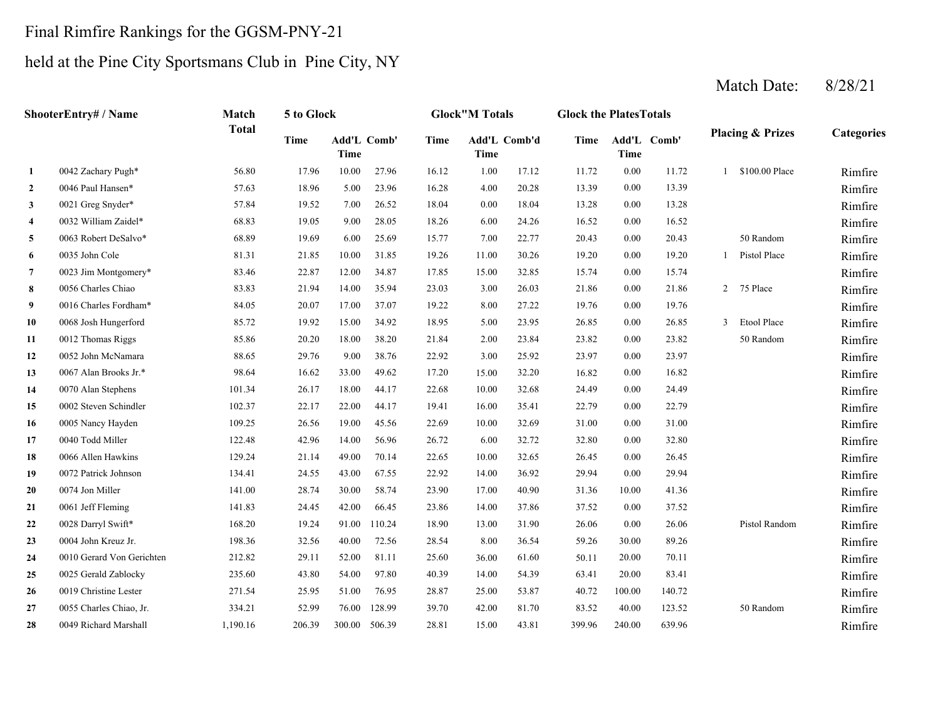#### Final Rimfire Rankings for the GGSM-PNY-21

# held at the Pine City Sportsmans Club in Pine City, NY

**2** 4.00 13.39 Rimfire**3** 0.00 13.28 Rimfire**4** 6.00 16.52 Rimfire**5** 7.00 20.43 Rimfire**6**6 0035 John Cole 81.31 21.85 10.00 31.85 19.26 11.00 30.26 19.20 0.00 19.20 1 Pistol Place Rimfire **7** 15.00 15.74 Rimfire**8** 3.00 21.86 Rimfire**9** 8.00 19.76 Rimfire**10** 5.00 26.85 Rimfire**11** 2.00 23.82 Rimfire**12** 3.00 23.97 Rimfire**13**3 0067 Alan Brooks Jr.\* 98.64 16.62 33.00 49.62 15.00 32.20 16.82 Rimfire **14**4 0070 Alan Stephens 2011.34 26.17 18.00 44.17 22.68 10.00 32.68 24.49 0.00 24.49 24.49 **15** 16.00 22.79 Rimfire**16** 10.00 31.00 Rimfire**17** 6.00 32.80 Rimfire**18** 10.00 26.45 Rimfire**19** 14.00 29.94 Rimfire**20**0 0074 Jon Miller 141.00 28.74 30.00 58.74 23.90 17.00 40.90 31.36 10.00 41.36 **21**1 0061 Jeff Fleming 2 141.83 24.45 42.00 66.45 23.86 14.00 37.86 37.52 0.00 37.52 2000 37.52 Rimfire **22** 13.00 26.06 Rimfire**23** 8.00 59.26 Rimfire**24**4 0010 Gerard Von Gerichten 212.82 29.11 52.00 81.11 25.60 36.00 61.60 50.11 20.00 70.11 20.00 70.11 **25** 14.00 63.41 Rimfire**26**6 0019 Christine Lester 271.54 25.95 51.00 76.95 28.87 25.00 53.87 40.72 100.00 140.72 25.00 Rimfire **27** 42.00 83.52 Rimfire**28** 28.81 43.81 240.00 639.96 15.00 399.96 Rimfire81.70 83.52 40.00 123.52 50 Random 0049 Richard Marshall 1,190.16 206.39 300.00 506.39 53.87 100.00 140.72 0055 Charles Chiao, Jr. 334.21 52.99 76.00 128.99 39.70 54.39 20.00 83.41 0019 Christine Lester 271.54 25.95 51.00 76.95 28.87 61.60 20.00 70.11 0025 Gerald Zablocky 235.60 43.80 54.00 97.80 40.39 36.54 30.00 89.26 0004 John Kreuz Jr. 198.36 32.56 40.00 72.56 28.54 18.90 31.90 0.00 26.06 Pistol Random 23.86 37.86 0.00 37.52 0028 Darryl Swift\* 168.20 19.24 91.00 110.24 23.90 40.90 10.00 41.36 0061 Jeff Fleming 141.83 24.45 42.00 66.45 22.92 36.92 0.00 29.94 0074 Jon Miller 141.00 28.74 30.00 58.74 22.65 32.65 0.00 26.45 0072 Patrick Johnson 134.41 24.55 43.00 67.55 26.72 32.72 0.00 32.80 0066 Allen Hawkins 129.24 21.14 49.00 70.14 22.69 32.69 0.00 31.00 0040 Todd Miller 122.48 42.96 14.00 56.96 19.41 35.41 0.00 22.79 0005 Nancy Hayden 109.25 26.56 19.00 45.56 22.68 32.68 0.00 24.49 0002 Steven Schindler 102.37 22.17 22.00 44.17 17.20 32.20 0.00 16.82 0070 Alan Stephens 101.34 26.17 18.00 44.17 22.92 25.92 0.00 23.97 0067 Alan Brooks Jr.\* 98.64 16.62 33.00 49.62 23.84 0.00 23.82 50 Random 0052 John McNamara 88.65 29.76 9.00 38.76 0012 Thomas Riggs 85.86 20.20 18.00 38.20 21.84 23.95 26.85 0.00 26.85 3 Etool Place 27.22 0.00 19.76 0068 Josh Hungerford 85.72 19.92 15.00 34.92 18.95 0016 Charles Fordham\* 84.05 20.07 17.00 37.07 19.22 26.03 21.86 0.00 21.86 2 75 Place 32.85 0.00 15.74 0056 Charles Chiao **83.83** 21.94 14.00 35.94 23.03 0023 Jim Montgomery\* 83.46 22.87 12.00 34.87 17.85 30.26 0.00 19.20 1 Pistol Place 0.00 20.43 50 Random 0035 John Cole 81.31 21.85 10.00 31.85 19.26 0.00 16.52 0063 Robert DeSalvo\* 68.89 19.69 6.00 25.69 15.77 7.00 22.77 0.00 13.28 0032 William Zaidel\* 68.83 19.05 9.00 28.05 18.26 24.26 0.00 13.39 0021 Greg Snyder\* 57.84 19.52 7.00 26.52 18.04 0.00 18.04 1 \$100.00 Place Rimfire0046 Paul Hansen\* 57.63 18.96 5.00 23.96 16.28 4.00 20.28 **1**0042 Zachary Pugh\* 56.80 17.96 10.00 27.96 16.12 1.00 17.12 11.72 0.00 11.72 **Categories Time Add'L Time Comb' Time Add'L Comb'd Time Add'L Time Time Comb'ShooterEntry# / Name Match Total5 to Glock Glock"M Totals Glock the PlatesTotals Placing & Prizes**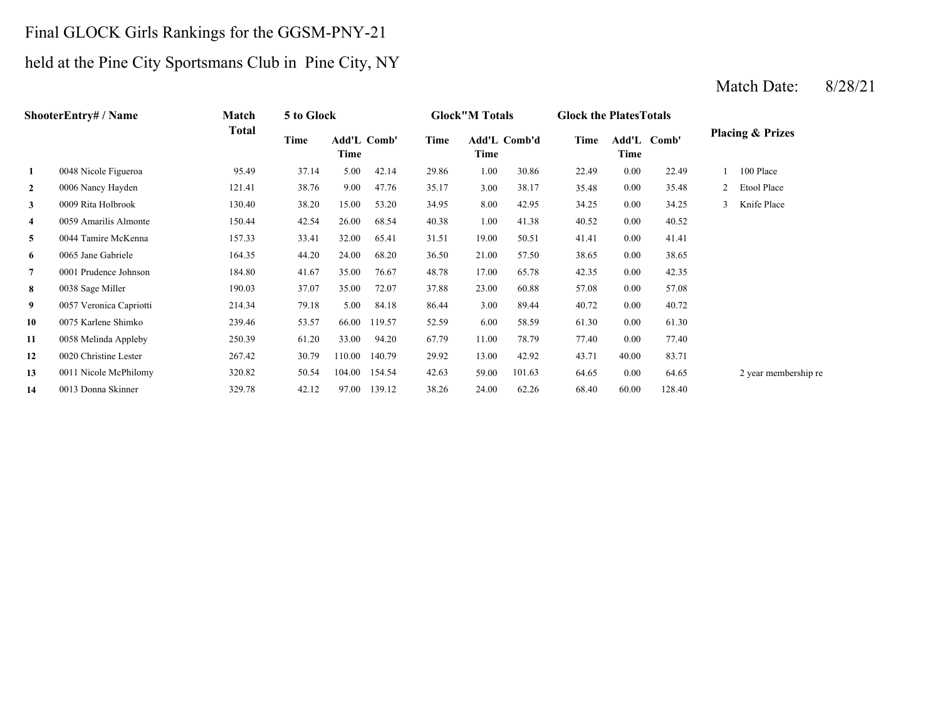# Final GLOCK Girls Rankings for the GGSM-PNY-21

# held at the Pine City Sportsmans Club in Pine City, NY

|              | <b>ShooterEntry# / Name</b> | Match  | 5 to Glock |                            |        |       | <b>Glock</b> "M Totals      |        | <b>Glock the Plates Totals</b> |               |        |   |                             |
|--------------|-----------------------------|--------|------------|----------------------------|--------|-------|-----------------------------|--------|--------------------------------|---------------|--------|---|-----------------------------|
|              |                             | Total  | Time       | <b>Add'L Comb'</b><br>Time |        | Time  | <b>Add'L Comb'd</b><br>Time |        | Time                           | Add'L<br>Time | Comb'  |   | <b>Placing &amp; Prizes</b> |
| 1            | 0048 Nicole Figueroa        | 95.49  | 37.14      | 5.00                       | 42.14  | 29.86 | 1.00                        | 30.86  | 22.49                          | 0.00          | 22.49  |   | 100 Place                   |
| $\mathbf{2}$ | 0006 Nancy Hayden           | 121.41 | 38.76      | 9.00                       | 47.76  | 35.17 | 3.00                        | 38.17  | 35.48                          | 0.00          | 35.48  |   | Etool Place                 |
| 3            | 0009 Rita Holbrook          | 130.40 | 38.20      | 15.00                      | 53.20  | 34.95 | 8.00                        | 42.95  | 34.25                          | 0.00          | 34.25  | 3 | Knife Place                 |
| 4            | 0059 Amarilis Almonte       | 150.44 | 42.54      | 26.00                      | 68.54  | 40.38 | 1.00                        | 41.38  | 40.52                          | 0.00          | 40.52  |   |                             |
| 5            | 0044 Tamire McKenna         | 157.33 | 33.41      | 32.00                      | 65.41  | 31.51 | 19.00                       | 50.51  | 41.41                          | 0.00          | 41.41  |   |                             |
| 6            | 0065 Jane Gabriele          | 164.35 | 44.20      | 24.00                      | 68.20  | 36.50 | 21.00                       | 57.50  | 38.65                          | 0.00          | 38.65  |   |                             |
| 7            | 0001 Prudence Johnson       | 184.80 | 41.67      | 35.00                      | 76.67  | 48.78 | 17.00                       | 65.78  | 42.35                          | 0.00          | 42.35  |   |                             |
| 8            | 0038 Sage Miller            | 190.03 | 37.07      | 35.00                      | 72.07  | 37.88 | 23.00                       | 60.88  | 57.08                          | 0.00          | 57.08  |   |                             |
| 9            | 0057 Veronica Capriotti     | 214.34 | 79.18      | 5.00                       | 84.18  | 86.44 | 3.00                        | 89.44  | 40.72                          | 0.00          | 40.72  |   |                             |
| 10           | 0075 Karlene Shimko         | 239.46 | 53.57      | 66.00                      | 119.57 | 52.59 | 6.00                        | 58.59  | 61.30                          | 0.00          | 61.30  |   |                             |
| 11           | 0058 Melinda Appleby        | 250.39 | 61.20      | 33.00                      | 94.20  | 67.79 | 11.00                       | 78.79  | 77.40                          | 0.00          | 77.40  |   |                             |
| 12           | 0020 Christine Lester       | 267.42 | 30.79      | 110.00                     | 140.79 | 29.92 | 13.00                       | 42.92  | 43.71                          | 40.00         | 83.71  |   |                             |
| 13           | 0011 Nicole McPhilomy       | 320.82 | 50.54      | 104.00                     | 154.54 | 42.63 | 59.00                       | 101.63 | 64.65                          | 0.00          | 64.65  |   | 2 year membership re        |
| 14           | 0013 Donna Skinner          | 329.78 | 42.12      | 97.00                      | 139.12 | 38.26 | 24.00                       | 62.26  | 68.40                          | 60.00         | 128.40 |   |                             |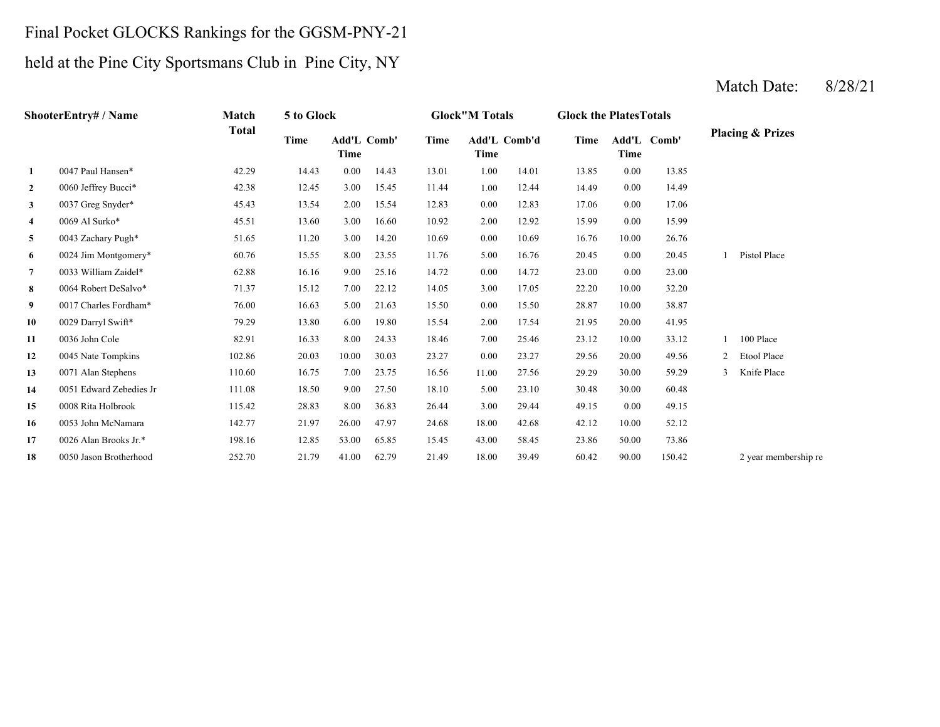#### Final Pocket GLOCKS Rankings for the GGSM-PNY-21

#### held at the Pine City Sportsmans Club in Pine City, NY

#### **2** 1.00 14.49 0060 Jeffrey Bucci\* 42.38 12.45 3.00 15.45 11.44 12.44 0.00 14.49 **3** 0.00 17.06 0037 Greg Snyder\* 45.43 13.54 2.00 15.54 12.83 **4** 2.00 15.99 **5** 0.00 16.76 0043 Zachary Pugh\* 51.65 11.20 3.00 14.20 10.69 10.69 10.00 **6** 5.00 20.45 0024 Jim Montgomery\* 60.76 15.55 8.00 23.55 11.76 16.76 0.00 20.45 **7** 0.00 23.00 0033 William Zaidel\* 62.88 16.16 9.00 25.16 14.72 14.72 0.00 **8** 3.00 22.20 0064 Robert DeSalvo\* 71.37 15.12 7.00 22.12 14.05 17.05 10.00 32.20 **9** 0.00 28.87 0017 Charles Fordham\* 76.00 16.63 5.00 21.63 15.50 **10** 2.00 21.95 0029 Darryl Swift\* 79.29 13.80 6.00 19.80 15.54 17.54 **11** 7.00 23.12 0036 John Cole 82.91 16.33 8.00 24.33 18.46 25.46 10.00 **12**2 0045 Nate Tompkins 102.86 20.03 10.00 30.03 23.27 0.00 23.27 29.56 **133** 0071 Alan Stephens 110.60 16.75 7.00 23.75 16.56 11.00 27.56 29.29 **14** 5.00 30.48 0051 Edward Zebedies Jr 111.08 18.50 9.00 27.50 **15** 3.00 49.15 0008 Rita Holbrook 115.42 28.83 8.00 36.83 26.44 **16** 18.00 42.12 0053 John McNamara 142.77 21.97 26.00 47.97 24.68 42.68 **17** 43.00 23.86 0026 Alan Brooks Jr.\* 198.16 12.85 53.00 65.85 15.45 58.45 50.00 **18**8 0050 Jason Brotherhood 252.70 21.79 41.00 62.79 21.49 18.00 39.49 60.42 90.00 150.42 2 year membership re 73.86 10.00 52.12 29.44 0.00 49.15 18.10 23.10 30.00 60.48 27.56 29.29 30.00 59.29 3 Knife Place 20.00 49.56 2 Etool Place 33.12 1 100 Place 20.00 41.95 15.50 28.87 10.00 38.87 23.00 1 Pistol Place 26.760.00 15.99 12.83 17.06 0.00 17.06 0069 Al Surko\* **45.51** 13.60 3.00 16.60 10.92 2.00 12.92 13.85 14.43 13.01 1.00 14.01 13.85 0.00 **Add'L Comb'd Time Add'L Time Time Comb' 1**0047 Paul Hansen\* 42.29 14.43 0.00 **ShooterEntry# / Name Match Total 5 to Glock Glock"M Totals Glock the PlatesTotals Placing & Prizes Time Add'L Time Comb' Time**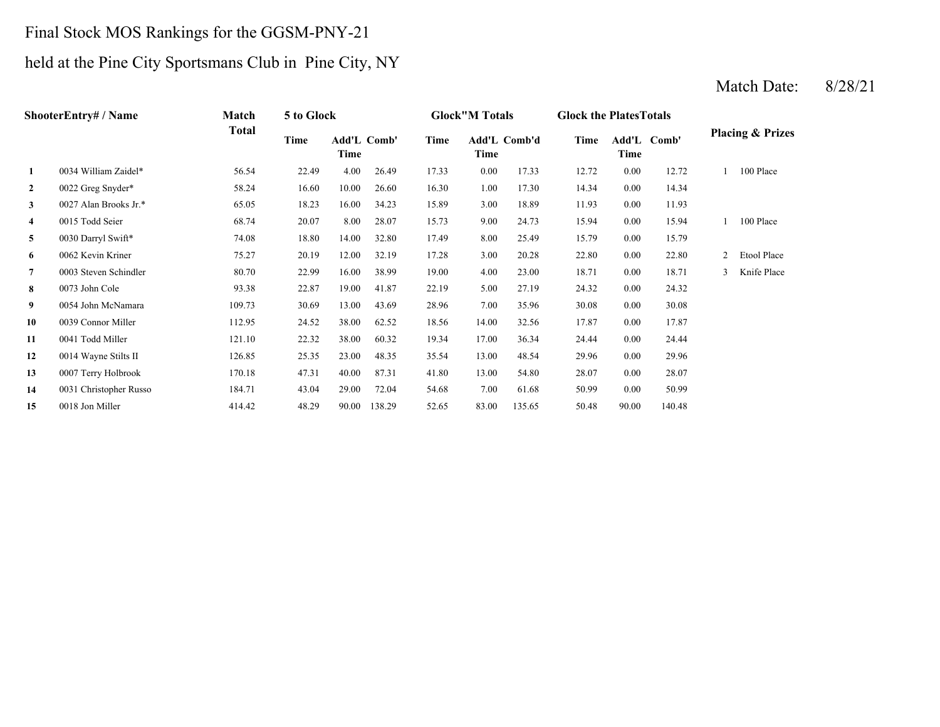# Final Stock MOS Rankings for the GGSM-PNY-21

# held at the Pine City Sportsmans Club in Pine City, NY

|                         | <b>ShooterEntry#/Name</b> | <b>Match</b> | 5 to Glock |                     |        |       | <b>Glock</b> "M Totals |        | <b>Glock the PlatesTotals</b> |          |             |   |                             |
|-------------------------|---------------------------|--------------|------------|---------------------|--------|-------|------------------------|--------|-------------------------------|----------|-------------|---|-----------------------------|
|                         |                           | <b>Total</b> | Time       | Add'L Comb'<br>Time |        | Time  | Add'L Comb'd<br>Time   |        | Time                          | Time     | Add'L Comb' |   | <b>Placing &amp; Prizes</b> |
| 1                       | 0034 William Zaidel*      | 56.54        | 22.49      | 4.00                | 26.49  | 17.33 | $0.00\,$               | 17.33  | 12.72                         | 0.00     | 12.72       |   | 100 Place                   |
| $\boldsymbol{2}$        | 0022 Greg Snyder*         | 58.24        | 16.60      | 10.00               | 26.60  | 16.30 | 1.00                   | 17.30  | 14.34                         | 0.00     | 14.34       |   |                             |
| 3                       | 0027 Alan Brooks Jr.*     | 65.05        | 18.23      | 16.00               | 34.23  | 15.89 | 3.00                   | 18.89  | 11.93                         | 0.00     | 11.93       |   |                             |
| $\overline{\mathbf{4}}$ | 0015 Todd Seier           | 68.74        | 20.07      | 8.00                | 28.07  | 15.73 | 9.00                   | 24.73  | 15.94                         | 0.00     | 15.94       |   | 100 Place                   |
| 5                       | 0030 Darryl Swift*        | 74.08        | 18.80      | 14.00               | 32.80  | 17.49 | 8.00                   | 25.49  | 15.79                         | 0.00     | 15.79       |   |                             |
| 6                       | 0062 Kevin Kriner         | 75.27        | 20.19      | 12.00               | 32.19  | 17.28 | 3.00                   | 20.28  | 22.80                         | 0.00     | 22.80       | 2 | Etool Place                 |
| $\overline{7}$          | 0003 Steven Schindler     | 80.70        | 22.99      | 16.00               | 38.99  | 19.00 | 4.00                   | 23.00  | 18.71                         | 0.00     | 18.71       | 3 | Knife Place                 |
| 8                       | 0073 John Cole            | 93.38        | 22.87      | 19.00               | 41.87  | 22.19 | 5.00                   | 27.19  | 24.32                         | 0.00     | 24.32       |   |                             |
| 9                       | 0054 John McNamara        | 109.73       | 30.69      | 13.00               | 43.69  | 28.96 | 7.00                   | 35.96  | 30.08                         | 0.00     | 30.08       |   |                             |
| 10                      | 0039 Connor Miller        | 112.95       | 24.52      | 38.00               | 62.52  | 18.56 | 14.00                  | 32.56  | 17.87                         | $0.00\,$ | 17.87       |   |                             |
| 11                      | 0041 Todd Miller          | 121.10       | 22.32      | 38.00               | 60.32  | 19.34 | 17.00                  | 36.34  | 24.44                         | 0.00     | 24.44       |   |                             |
| 12                      | 0014 Wayne Stilts II      | 126.85       | 25.35      | 23.00               | 48.35  | 35.54 | 13.00                  | 48.54  | 29.96                         | 0.00     | 29.96       |   |                             |
| 13                      | 0007 Terry Holbrook       | 170.18       | 47.31      | 40.00               | 87.31  | 41.80 | 13.00                  | 54.80  | 28.07                         | 0.00     | 28.07       |   |                             |
| 14                      | 0031 Christopher Russo    | 184.71       | 43.04      | 29.00               | 72.04  | 54.68 | 7.00                   | 61.68  | 50.99                         | 0.00     | 50.99       |   |                             |
| 15                      | 0018 Jon Miller           | 414.42       | 48.29      | 90.00               | 138.29 | 52.65 | 83.00                  | 135.65 | 50.48                         | 90.00    | 140.48      |   |                             |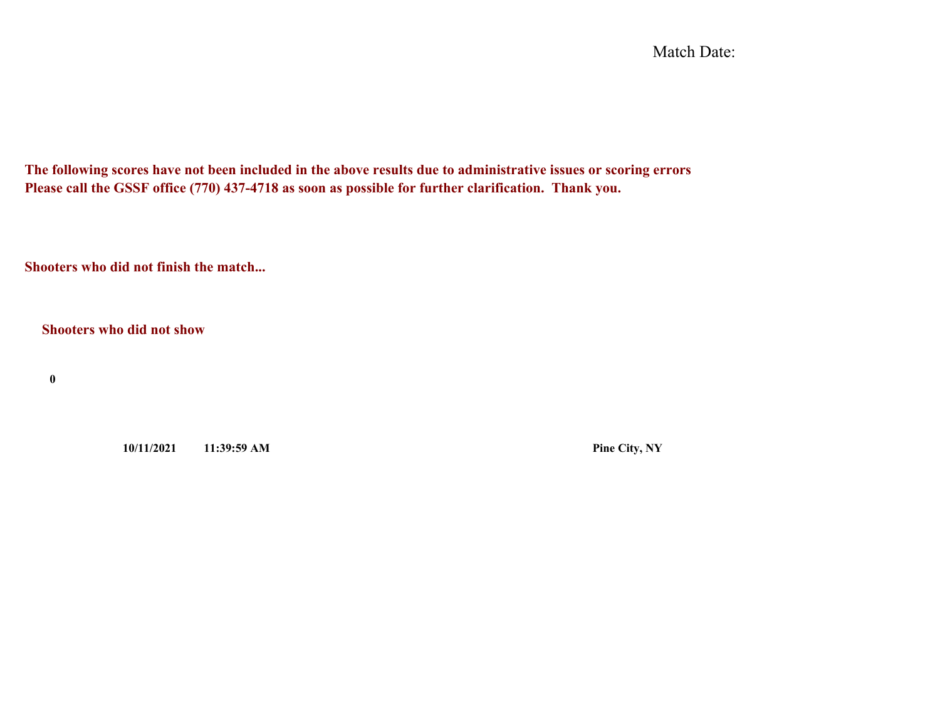Match Date:

**The following scores have not been included in the above results due to administrative issues or scoring errors Please call the GSSF office (770) 437-4718 as soon as possible for further clarification. Thank you.**

**Shooters who did not finish the match...**

**Shooters who did not show**

**0**

**10/11/2021 11:39:59 AM Pine City, NY**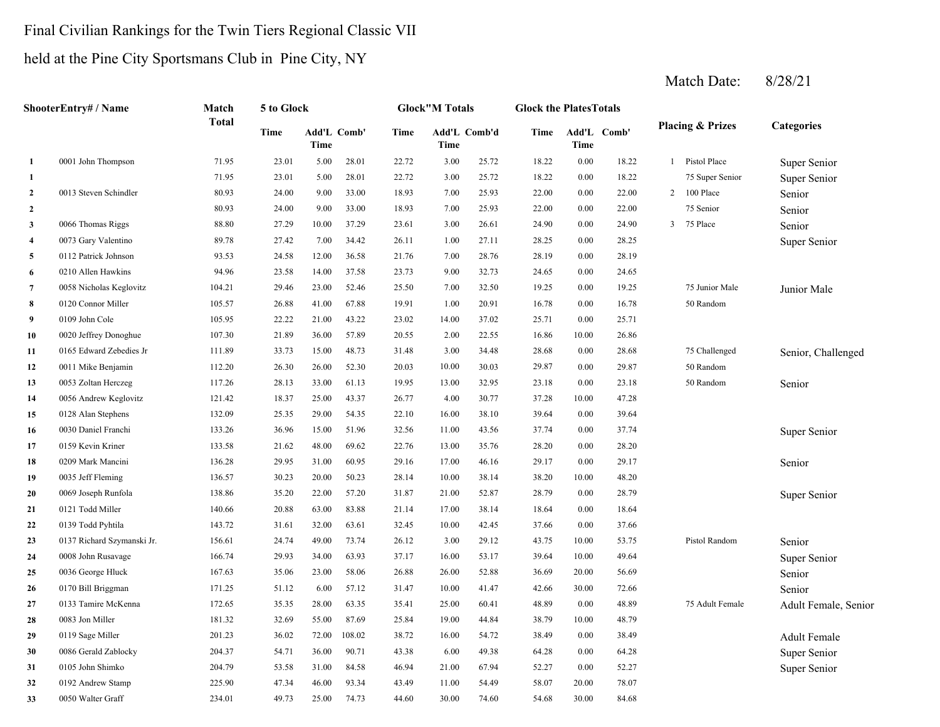#### Final Civilian Rankings for the Twin Tiers Regional Classic VII

# held at the Pine City Sportsmans Club in Pine City, NY

|                | ShooterEntry# / Name       | Match        | 5 to Glock |       |             |       | <b>Glock"M Totals</b> |       | <b>Glock the PlatesTotals</b> |       |             |                |                             |                      |
|----------------|----------------------------|--------------|------------|-------|-------------|-------|-----------------------|-------|-------------------------------|-------|-------------|----------------|-----------------------------|----------------------|
|                |                            | <b>Total</b> | Time       | Time  | Add'L Comb' | Time  | Add'L Comb'd<br>Time  |       | Time                          | Time  | Add'L Comb' |                | <b>Placing &amp; Prizes</b> | <b>Categories</b>    |
| 1              | 0001 John Thompson         | 71.95        | 23.01      | 5.00  | 28.01       | 22.72 | 3.00                  | 25.72 | 18.22                         | 0.00  | 18.22       |                | 1 Pistol Place              | Super Senior         |
| 1              |                            | 71.95        | 23.01      | 5.00  | 28.01       | 22.72 | 3.00                  | 25.72 | 18.22                         | 0.00  | 18.22       |                | 75 Super Senior             | Super Senior         |
| $\overline{2}$ | 0013 Steven Schindler      | 80.93        | 24.00      | 9.00  | 33.00       | 18.93 | 7.00                  | 25.93 | 22.00                         | 0.00  | 22.00       |                | $2-100\ \mathrm{Place}$     | Senior               |
| $\overline{2}$ |                            | 80.93        | 24.00      | 9.00  | 33.00       | 18.93 | 7.00                  | 25.93 | 22.00                         | 0.00  | 22.00       |                | 75 Senior                   | Senior               |
| 3              | 0066 Thomas Riggs          | 88.80        | 27.29      | 10.00 | 37.29       | 23.61 | 3.00                  | 26.61 | 24.90                         | 0.00  | 24.90       | 3 <sup>1</sup> | 75 Place                    | Senior               |
| $\overline{4}$ | 0073 Gary Valentino        | 89.78        | 27.42      | 7.00  | 34.42       | 26.11 | 1.00                  | 27.11 | 28.25                         | 0.00  | 28.25       |                |                             | Super Senior         |
| 5              | 0112 Patrick Johnson       | 93.53        | 24.58      | 12.00 | 36.58       | 21.76 | 7.00                  | 28.76 | 28.19                         | 0.00  | 28.19       |                |                             |                      |
| 6              | 0210 Allen Hawkins         | 94.96        | 23.58      | 14.00 | 37.58       | 23.73 | 9.00                  | 32.73 | 24.65                         | 0.00  | 24.65       |                |                             |                      |
| 7              | 0058 Nicholas Keglovitz    | 104.21       | 29.46      | 23.00 | 52.46       | 25.50 | 7.00                  | 32.50 | 19.25                         | 0.00  | 19.25       |                | 75 Junior Male              | Junior Male          |
| 8              | 0120 Connor Miller         | 105.57       | 26.88      | 41.00 | 67.88       | 19.91 | 1.00                  | 20.91 | 16.78                         | 0.00  | 16.78       |                | 50 Random                   |                      |
| 9              | 0109 John Cole             | 105.95       | 22.22      | 21.00 | 43.22       | 23.02 | 14.00                 | 37.02 | 25.71                         | 0.00  | 25.71       |                |                             |                      |
| 10             | 0020 Jeffrey Donoghue      | 107.30       | 21.89      | 36.00 | 57.89       | 20.55 | 2.00                  | 22.55 | 16.86                         | 10.00 | 26.86       |                |                             |                      |
| 11             | 0165 Edward Zebedies Jr    | 111.89       | 33.73      | 15.00 | 48.73       | 31.48 | 3.00                  | 34.48 | 28.68                         | 0.00  | 28.68       |                | 75 Challenged               | Senior, Challenged   |
| 12             | 0011 Mike Benjamin         | 112.20       | 26.30      | 26.00 | 52.30       | 20.03 | 10.00                 | 30.03 | 29.87                         | 0.00  | 29.87       |                | 50 Random                   |                      |
| 13             | 0053 Zoltan Herczeg        | 117.26       | 28.13      | 33.00 | 61.13       | 19.95 | 13.00                 | 32.95 | 23.18                         | 0.00  | 23.18       |                | 50 Random                   | Senior               |
| 14             | 0056 Andrew Keglovitz      | 121.42       | 18.37      | 25.00 | 43.37       | 26.77 | 4.00                  | 30.77 | 37.28                         | 10.00 | 47.28       |                |                             |                      |
| 15             | 0128 Alan Stephens         | 132.09       | 25.35      | 29.00 | 54.35       | 22.10 | 16.00                 | 38.10 | 39.64                         | 0.00  | 39.64       |                |                             |                      |
| 16             | 0030 Daniel Franchi        | 133.26       | 36.96      | 15.00 | 51.96       | 32.56 | 11.00                 | 43.56 | 37.74                         | 0.00  | 37.74       |                |                             | Super Senior         |
| 17             | 0159 Kevin Kriner          | 133.58       | 21.62      | 48.00 | 69.62       | 22.76 | 13.00                 | 35.76 | 28.20                         | 0.00  | 28.20       |                |                             |                      |
| 18             | 0209 Mark Mancini          | 136.28       | 29.95      | 31.00 | 60.95       | 29.16 | 17.00                 | 46.16 | 29.17                         | 0.00  | 29.17       |                |                             | Senior               |
| 19             | 0035 Jeff Fleming          | 136.57       | 30.23      | 20.00 | 50.23       | 28.14 | 10.00                 | 38.14 | 38.20                         | 10.00 | 48.20       |                |                             |                      |
| 20             | 0069 Joseph Runfola        | 138.86       | 35.20      | 22.00 | 57.20       | 31.87 | 21.00                 | 52.87 | 28.79                         | 0.00  | 28.79       |                |                             | Super Senior         |
| 21             | 0121 Todd Miller           | 140.66       | 20.88      | 63.00 | 83.88       | 21.14 | 17.00                 | 38.14 | 18.64                         | 0.00  | 18.64       |                |                             |                      |
| 22             | 0139 Todd Pyhtila          | 143.72       | 31.61      | 32.00 | 63.61       | 32.45 | 10.00                 | 42.45 | 37.66                         | 0.00  | 37.66       |                |                             |                      |
| 23             | 0137 Richard Szymanski Jr. | 156.61       | 24.74      | 49.00 | 73.74       | 26.12 | 3.00                  | 29.12 | 43.75                         | 10.00 | 53.75       |                | Pistol Random               | Senior               |
| 24             | 0008 John Rusavage         | 166.74       | 29.93      | 34.00 | 63.93       | 37.17 | 16.00                 | 53.17 | 39.64                         | 10.00 | 49.64       |                |                             | Super Senior         |
| 25             | 0036 George Hluck          | 167.63       | 35.06      | 23.00 | 58.06       | 26.88 | 26.00                 | 52.88 | 36.69                         | 20.00 | 56.69       |                |                             | Senior               |
| 26             | 0170 Bill Briggman         | 171.25       | 51.12      | 6.00  | 57.12       | 31.47 | 10.00                 | 41.47 | 42.66                         | 30.00 | 72.66       |                |                             | Senior               |
| 27             | 0133 Tamire McKenna        | 172.65       | 35.35      | 28.00 | 63.35       | 35.41 | 25.00                 | 60.41 | 48.89                         | 0.00  | 48.89       |                | 75 Adult Female             | Adult Female, Senior |
| 28             | 0083 Jon Miller            | 181.32       | 32.69      | 55.00 | 87.69       | 25.84 | 19.00                 | 44.84 | 38.79                         | 10.00 | 48.79       |                |                             |                      |
| 29             | 0119 Sage Miller           | 201.23       | 36.02      | 72.00 | 108.02      | 38.72 | 16.00                 | 54.72 | 38.49                         | 0.00  | 38.49       |                |                             | Adult Female         |
| 30             | 0086 Gerald Zablocky       | 204.37       | 54.71      | 36.00 | 90.71       | 43.38 | 6.00                  | 49.38 | 64.28                         | 0.00  | 64.28       |                |                             | Super Senior         |
| 31             | 0105 John Shimko           | 204.79       | 53.58      | 31.00 | 84.58       | 46.94 | 21.00                 | 67.94 | 52.27                         | 0.00  | 52.27       |                |                             | Super Senior         |
| 32             | 0192 Andrew Stamp          | 225.90       | 47.34      | 46.00 | 93.34       | 43.49 | 11.00                 | 54.49 | 58.07                         | 20.00 | 78.07       |                |                             |                      |
| 33             | 0050 Walter Graff          | 234.01       | 49.73      | 25.00 | 74.73       | 44.60 | 30.00                 | 74.60 | 54.68                         | 30.00 | 84.68       |                |                             |                      |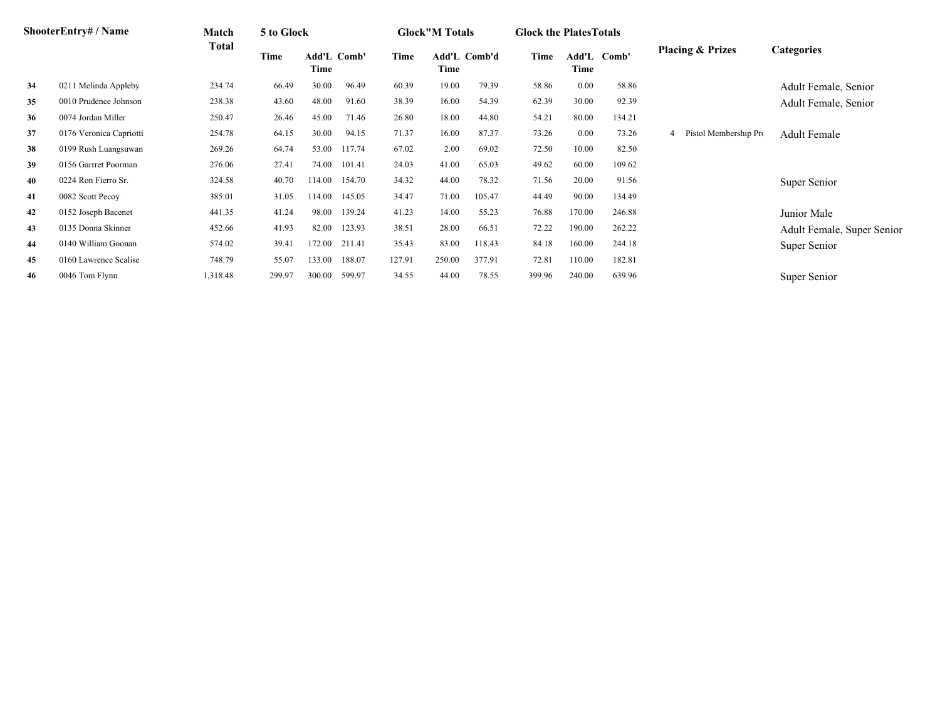|    | <b>ShooterEntry#/Name</b> | Match    | 5 to Glock |                     |        |        | <b>Glock</b> "M Totals      |        | <b>Glock the Plates Totals</b> |        |             |                             |                            |
|----|---------------------------|----------|------------|---------------------|--------|--------|-----------------------------|--------|--------------------------------|--------|-------------|-----------------------------|----------------------------|
|    |                           | Total    | Time       | Add'L Comb'<br>Time |        | Time   | <b>Add'L Comb'd</b><br>Time |        | Time                           | Time   | Add'L Comb' | <b>Placing &amp; Prizes</b> | <b>Categories</b>          |
| 34 | 0211 Melinda Appleby      | 234.74   | 66.49      | 30.00               | 96.49  | 60.39  | 19.00                       | 79.39  | 58.86                          | 0.00   | 58.86       |                             | Adult Female, Senior       |
| 35 | 0010 Prudence Johnson     | 238.38   | 43.60      | 48.00               | 91.60  | 38.39  | 16.00                       | 54.39  | 62.39                          | 30.00  | 92.39       |                             | Adult Female, Senior       |
| 36 | 0074 Jordan Miller        | 250.47   | 26.46      | 45.00               | 71.46  | 26.80  | 18.00                       | 44.80  | 54.21                          | 80.00  | 134.21      |                             |                            |
| 37 | 0176 Veronica Capriotti   | 254.78   | 64.15      | 30.00               | 94.15  | 71.37  | 16.00                       | 87.37  | 73.26                          | 0.00   | 73.26       | Pistol Membership Pro       | <b>Adult Female</b>        |
| 38 | 0199 Rush Luangsuwan      | 269.26   | 64.74      | 53.00               | 117.74 | 67.02  | 2.00                        | 69.02  | 72.50                          | 10.00  | 82.50       |                             |                            |
| 39 | 0156 Garrret Poorman      | 276.06   | 27.41      | 74.00               | 101.41 | 24.03  | 41.00                       | 65.03  | 49.62                          | 60.00  | 109.62      |                             |                            |
| 40 | 0224 Ron Fierro Sr.       | 324.58   | 40.70      | 114.00              | 154.70 | 34.32  | 44.00                       | 78.32  | 71.56                          | 20.00  | 91.56       |                             | Super Senior               |
| 41 | 0082 Scott Pecoy          | 385.01   | 31.05      | 114.00              | 145.05 | 34.47  | 71.00                       | 105.47 | 44.49                          | 90.00  | 134.49      |                             |                            |
| 42 | 0152 Joseph Bacenet       | 441.35   | 41.24      | 98.00               | 139.24 | 41.23  | 14.00                       | 55.23  | 76.88                          | 170.00 | 246.88      |                             | Junior Male                |
| 43 | 0135 Donna Skinner        | 452.66   | 41.93      | 82.00               | 123.93 | 38.51  | 28.00                       | 66.51  | 72.22                          | 190.00 | 262.22      |                             | Adult Female, Super Senior |
| 44 | 0140 William Goonan       | 574.02   | 39.41      | 172.00              | 211.41 | 35.43  | 83.00                       | 118.43 | 84.18                          | 160.00 | 244.18      |                             | Super Senior               |
| 45 | 0160 Lawrence Scalise     | 748.79   | 55.07      | 133.00              | 188.07 | 127.91 | 250.00                      | 377.91 | 72.81                          | 110.00 | 182.81      |                             |                            |
| 46 | 0046 Tom Flynn            | 1,318.48 | 299.97     | 300.00              | 599.97 | 34.55  | 44.00                       | 78.55  | 399.96                         | 240.00 | 639.96      |                             | Super Senior               |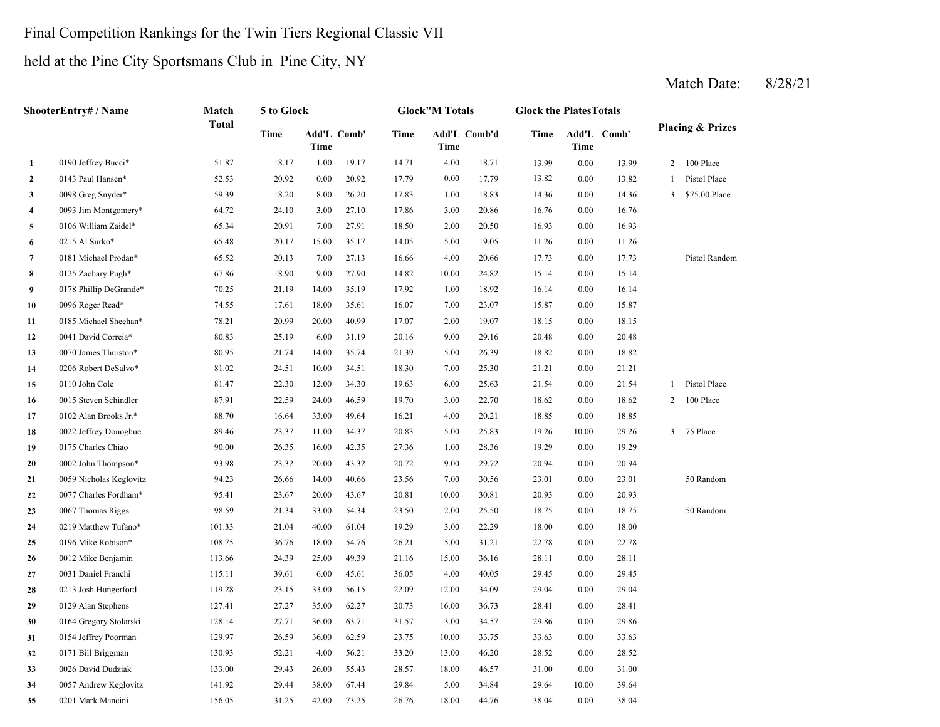#### Final Competition Rankings for the Twin Tiers Regional Classic VII

#### held at the Pine City Sportsmans Club in Pine City, NY

**35**

#### Match Date: 8/28/21

**2**2 0143 Paul Hansen\* 52.53 20.92 0.00 20.92 17.79 0.00 17.79 13.82 **3** 1.00 14.36 0098 Greg Snyder\* 59.39 18.20 8.00 26.20 17.83 **4** 3.00 16.76 0093 Jim Montgomery\* 64.72 24.10 3.00 27.10 **5** 2.00 16.93 0106 William Zaidel\* 65.34 20.91 7.00 27.91 18.50 **6**6 0215 Al Surko\* 65.48 20.17 15.00 35.17 14.05 5.00 19.05 11.26 **7** 4.00 17.73 0181 Michael Prodan\* 65.52 20.13 7.00 27.13 16.66 20.66 0.00 **8** 10.00 15.14 0125 Zachary Pugh\* 67.86 18.90 9.00 27.90 14.82 24.82 0.00 **9** 1.00 16.14 0178 Phillip DeGrande\* 70.25 21.19 14.00 35.19 17.92 18.92 0.00 16.14 **10**0 0096 Roger Read\* 74.55 17.61 18.00 35.61 16.07 7.00 23.07 15.87 **11** 2.00 18.15 0185 Michael Sheehan\* 78.21 20.99 20.00 40.99 17.07 19.07 **12**2 0041 David Correia\* 80.83 25.19 6.00 31.19 20.16 9.00 29.16 20.48 0.00 **13** 5.00 18.82 0070 James Thurston\* 80.95 21.74 14.00 35.74 21.39 26.39 0.00 18.82 **14** 7.00 21.21 0206 Robert DeSalvo\* 81.02 24.51 10.00 34.51 18.30 **15**5 0110 John Cole 81.47 22.30 12.00 34.30 19.63 6.00 25.63 21.54 **16** 3.00 18.62 0015 Steven Schindler 87.91 22.59 24.00 46.59 19.70 **17** 4.00 18.85 0102 Alan Brooks Jr.\* 88.70 16.64 33.00 49.64 **18** 5.00 19.26 0022 Jeffrey Donoghue 89.46 23.37 11.00 34.37 20.83 **19** 1.00 19.29 0175 Charles Chiao 90.00 26.35 16.00 42.35 **20**0 0002 John Thompson\* 93.98 23.32 20.00 43.32 20.72 9.00 29.72 20.94 **21** 7.00 23.01 0059 Nicholas Keglovitz 94.23 26.66 14.00 40.66 23.56 30.56 **22** 10.00 20.93 0077 Charles Fordham\* 95.41 23.67 20.00 43.67 20.81 30.81 **23** 2.00 18.75 0067 Thomas Riggs 98.59 21.34 33.00 54.34 23.50 25.50 0.00 **24** 3.00 18.00 0219 Matthew Tufano\* 101.33 21.04 40.00 61.04 19.29 22.29 0.00 **25** 5.00 22.78 0196 Mike Robison\* 108.75 36.76 18.00 54.76 26.21 31.21 0.00 22.78 **26** 15.00 28.11 0012 Mike Benjamin 113.66 24.39 25.00 49.39 21.16 **27** 4.00 29.45 0031 Daniel Franchi 115.11 39.61 6.00 45.61 36.05 40.05 **28** 12.00 29.04 0213 Josh Hungerford 119.28 23.15 33.00 56.15 22.09 34.09 0.00 **29** 16.00 28.41 0129 Alan Stephens 127.41 27.27 35.00 62.27 20.73 36.73 0.00 28.41 **30** 3.00 29.86 0164 Gregory Stolarski 128.14 27.71 36.00 63.71 31.57 **31**10.00 33.75 33.63 10.00 154 Jeffrey Poorman 129.97 26.59 36.00 2.59 23.75 10.00 33.75 33.63 **32** 13.00 28.52 0171 Bill Briggman 130.93 52.21 4.00 56.21 33.20 46.20 0.00 **33** 18.00 31.00 0026 David Dudziak 133.00 29.43 26.00 55.43 28.57 46.57 0.00 31.00 **34** 5.00 29.64 0057 Andrew Keglovitz 141.92 29.44 38.00 67.44 29.84 34.84 10.00 39.64 0201 Mark Mancini 156.05 31.25 42.00 73.25 26.76 44.76 28.520.00 33.63 34.57 0.00 29.86 29.04 0.00 29.45 36.16 0.00 28.11 18.00 18.75 50 Random 0.00 20.93 0.00 23.01 50 Random 29.72 0.00 20.94 27.36 28.36 0.00 19.29 25.83 19.26 10.00 29.26 3 75 Place 16.21 4.00 20.21 18.85 0.00 18.85 22.70 18.62 0.00 18.62 2 100 Place 0.00 21.54 1 Pistol Place 25.30 0.00 21.21 0110 John Cole 81.47 22.30 12.00 34.30 19.63 6.00 25.63 20.480.00 18.15 23.07 0.00 15.87 15.14 17.73 Pistol Random 0.00 11.26 20.50 0.00 16.93 0215 Al Surko\* 65.48 20.17 15.00 35.17 14.05 5.00 19.05 17.86 20.86 0.00 16.76 18.83 14.36 0.00 14.36 3 \$75.00 Place 17.79 0.00 17.79 13.82 0.00 13.82 1 Pistol Place 13.99 0.00 13.99 2 100 Place **Comb' Comb'd Time Add'L 1**0190 Jeffrey Bucci\* 51.87 18.17 1.00 19.17 14.71 4.00 18.71 **Comb' Time Add'L TimeTimeShooterEntry# / Name Match Total5 to Glock Glock"M Totals Glock the PlatesTotals Placing & Prizes Time Add'L Time**

18.00 38.04 0.00 38.04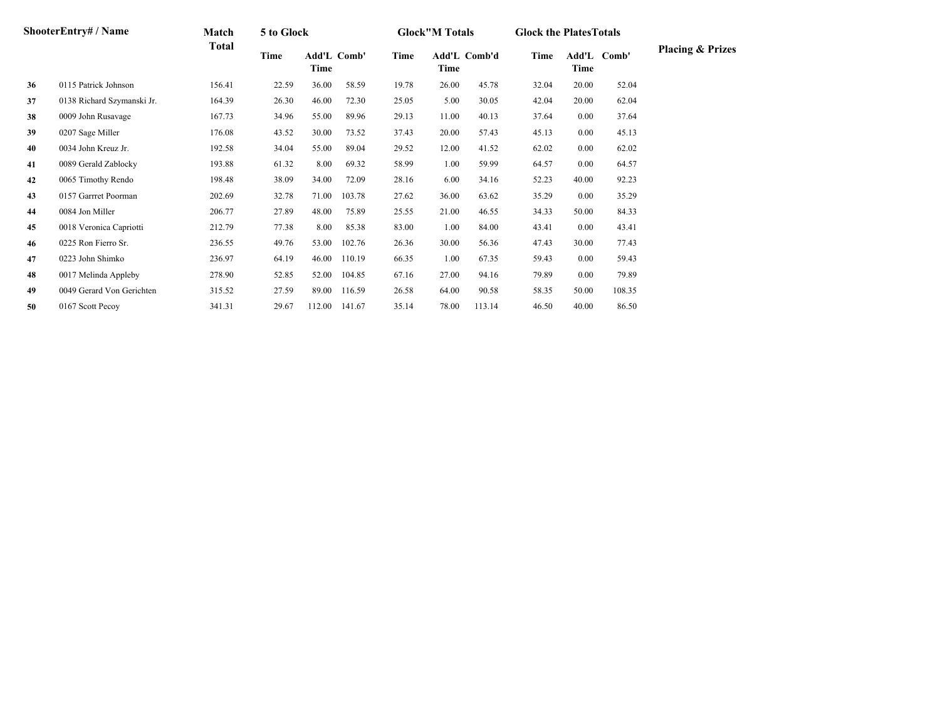| ShooterEntry# / Name | Match                      | 5 to Glock   |       |                     |        | <b>Glock</b> "M Totals |                      | <b>Glock the Plates Totals</b> |       |          |             |                             |
|----------------------|----------------------------|--------------|-------|---------------------|--------|------------------------|----------------------|--------------------------------|-------|----------|-------------|-----------------------------|
|                      |                            | <b>Total</b> | Time  | Add'L Comb'<br>Time |        | Time                   | Add'L Comb'd<br>Time |                                | Time  | Time     | Add'L Comb' | <b>Placing &amp; Prizes</b> |
| 36                   | 0115 Patrick Johnson       | 156.41       | 22.59 | 36.00               | 58.59  | 19.78                  | 26.00                | 45.78                          | 32.04 | 20.00    | 52.04       |                             |
| 37                   | 0138 Richard Szymanski Jr. | 164.39       | 26.30 | 46.00               | 72.30  | 25.05                  | 5.00                 | 30.05                          | 42.04 | 20.00    | 62.04       |                             |
| 38                   | 0009 John Rusavage         | 167.73       | 34.96 | 55.00               | 89.96  | 29.13                  | 11.00                | 40.13                          | 37.64 | $0.00\,$ | 37.64       |                             |
| 39                   | 0207 Sage Miller           | 176.08       | 43.52 | 30.00               | 73.52  | 37.43                  | 20.00                | 57.43                          | 45.13 | 0.00     | 45.13       |                             |
| 40                   | 0034 John Kreuz Jr.        | 192.58       | 34.04 | 55.00               | 89.04  | 29.52                  | 12.00                | 41.52                          | 62.02 | 0.00     | 62.02       |                             |
| 41                   | 0089 Gerald Zablocky       | 193.88       | 61.32 | 8.00                | 69.32  | 58.99                  | 1.00                 | 59.99                          | 64.57 | $0.00\,$ | 64.57       |                             |
| 42                   | 0065 Timothy Rendo         | 198.48       | 38.09 | 34.00               | 72.09  | 28.16                  | 6.00                 | 34.16                          | 52.23 | 40.00    | 92.23       |                             |
| 43                   | 0157 Garrret Poorman       | 202.69       | 32.78 | 71.00               | 103.78 | 27.62                  | 36.00                | 63.62                          | 35.29 | 0.00     | 35.29       |                             |
| 44                   | 0084 Jon Miller            | 206.77       | 27.89 | 48.00               | 75.89  | 25.55                  | 21.00                | 46.55                          | 34.33 | 50.00    | 84.33       |                             |
| 45                   | 0018 Veronica Capriotti    | 212.79       | 77.38 | 8.00                | 85.38  | 83.00                  | 1.00                 | 84.00                          | 43.41 | 0.00     | 43.41       |                             |
| 46                   | 0225 Ron Fierro Sr.        | 236.55       | 49.76 | 53.00               | 102.76 | 26.36                  | 30.00                | 56.36                          | 47.43 | 30.00    | 77.43       |                             |
| 47                   | 0223 John Shimko           | 236.97       | 64.19 | 46.00               | 110.19 | 66.35                  | 1.00                 | 67.35                          | 59.43 | 0.00     | 59.43       |                             |
| 48                   | 0017 Melinda Appleby       | 278.90       | 52.85 | 52.00               | 104.85 | 67.16                  | 27.00                | 94.16                          | 79.89 | 0.00     | 79.89       |                             |
| 49                   | 0049 Gerard Von Gerichten  | 315.52       | 27.59 | 89.00               | 116.59 | 26.58                  | 64.00                | 90.58                          | 58.35 | 50.00    | 108.35      |                             |
| 50                   | 0167 Scott Pecoy           | 341.31       | 29.67 | 112.00              | 141.67 | 35.14                  | 78.00                | 113.14                         | 46.50 | 40.00    | 86.50       |                             |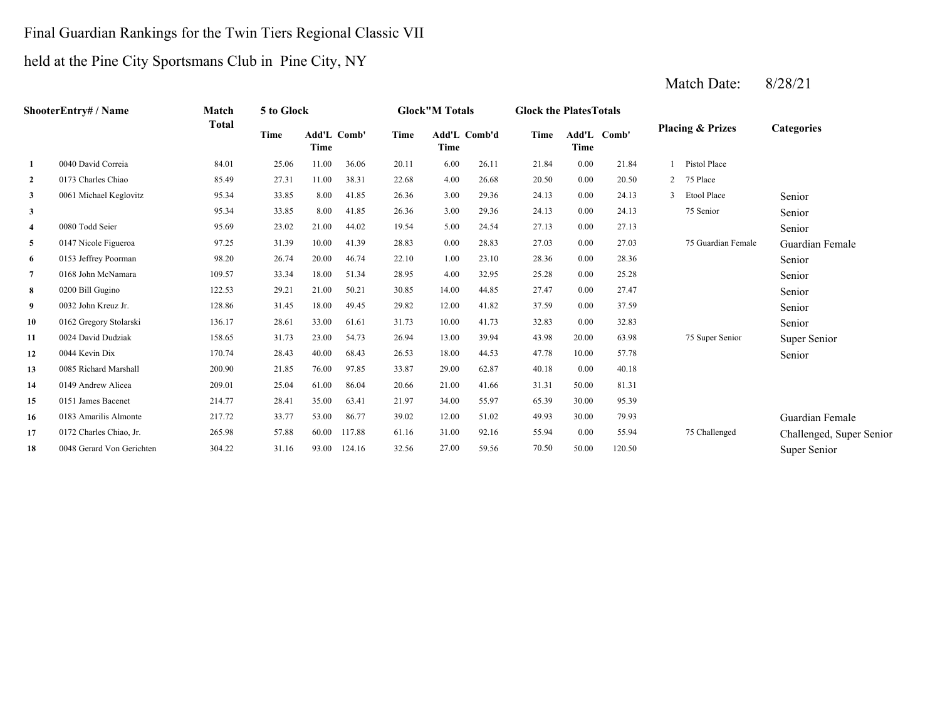# Final Guardian Rankings for the Twin Tiers Regional Classic VII

# held at the Pine City Sportsmans Club in Pine City, NY

| ShooterEntry# / Name | Match                     | 5 to Glock   |             |                            |        | <b>Glock"M Totals</b> |       | <b>Glock the Plates Totals</b> |       |             |             |              |                             |                          |
|----------------------|---------------------------|--------------|-------------|----------------------------|--------|-----------------------|-------|--------------------------------|-------|-------------|-------------|--------------|-----------------------------|--------------------------|
|                      |                           | <b>Total</b> | <b>Time</b> | <b>Add'L Comb'</b><br>Time |        | Time                  | Time  | Add'L Comb'd                   | Time  | <b>Time</b> | Add'L Comb' |              | <b>Placing &amp; Prizes</b> | <b>Categories</b>        |
| -1                   | 0040 David Correia        | 84.01        | 25.06       | 11.00                      | 36.06  | 20.11                 | 6.00  | 26.11                          | 21.84 | 0.00        | 21.84       |              | 1 Pistol Place              |                          |
| 2                    | 0173 Charles Chiao        | 85.49        | 27.31       | 11.00                      | 38.31  | 22.68                 | 4.00  | 26.68                          | 20.50 | 0.00        | 20.50       |              | 2 75 Place                  |                          |
| 3                    | 0061 Michael Keglovitz    | 95.34        | 33.85       | 8.00                       | 41.85  | 26.36                 | 3.00  | 29.36                          | 24.13 | 0.00        | 24.13       | $\mathbf{3}$ | Etool Place                 | Senior                   |
| $\mathbf{3}$         |                           | 95.34        | 33.85       | 8.00                       | 41.85  | 26.36                 | 3.00  | 29.36                          | 24.13 | 0.00        | 24.13       |              | 75 Senior                   | Senior                   |
| $\overline{4}$       | 0080 Todd Seier           | 95.69        | 23.02       | 21.00                      | 44.02  | 19.54                 | 5.00  | 24.54                          | 27.13 | 0.00        | 27.13       |              |                             | Senior                   |
| 5                    | 0147 Nicole Figueroa      | 97.25        | 31.39       | 10.00                      | 41.39  | 28.83                 | 0.00  | 28.83                          | 27.03 | 0.00        | 27.03       |              | 75 Guardian Female          | Guardian Female          |
| 6                    | 0153 Jeffrey Poorman      | 98.20        | 26.74       | 20.00                      | 46.74  | 22.10                 | 1.00  | 23.10                          | 28.36 | 0.00        | 28.36       |              |                             | Senior                   |
| 7                    | 0168 John McNamara        | 109.57       | 33.34       | 18.00                      | 51.34  | 28.95                 | 4.00  | 32.95                          | 25.28 | 0.00        | 25.28       |              |                             | Senior                   |
| 8                    | 0200 Bill Gugino          | 122.53       | 29.21       | 21.00                      | 50.21  | 30.85                 | 14.00 | 44.85                          | 27.47 | 0.00        | 27.47       |              |                             | Senior                   |
| 9                    | 0032 John Kreuz Jr.       | 128.86       | 31.45       | 18.00                      | 49.45  | 29.82                 | 12.00 | 41.82                          | 37.59 | 0.00        | 37.59       |              |                             | Senior                   |
| 10                   | 0162 Gregory Stolarski    | 136.17       | 28.61       | 33.00                      | 61.61  | 31.73                 | 10.00 | 41.73                          | 32.83 | 0.00        | 32.83       |              |                             | Senior                   |
| 11                   | 0024 David Dudziak        | 158.65       | 31.73       | 23.00                      | 54.73  | 26.94                 | 13.00 | 39.94                          | 43.98 | 20.00       | 63.98       |              | 75 Super Senior             | Super Senior             |
| 12                   | 0044 Kevin Dix            | 170.74       | 28.43       | 40.00                      | 68.43  | 26.53                 | 18.00 | 44.53                          | 47.78 | 10.00       | 57.78       |              |                             | Senior                   |
| 13                   | 0085 Richard Marshall     | 200.90       | 21.85       | 76.00                      | 97.85  | 33.87                 | 29.00 | 62.87                          | 40.18 | 0.00        | 40.18       |              |                             |                          |
| 14                   | 0149 Andrew Alicea        | 209.01       | 25.04       | 61.00                      | 86.04  | 20.66                 | 21.00 | 41.66                          | 31.31 | 50.00       | 81.31       |              |                             |                          |
| 15                   | 0151 James Bacenet        | 214.77       | 28.41       | 35.00                      | 63.41  | 21.97                 | 34.00 | 55.97                          | 65.39 | 30.00       | 95.39       |              |                             |                          |
| 16                   | 0183 Amarilis Almonte     | 217.72       | 33.77       | 53.00                      | 86.77  | 39.02                 | 12.00 | 51.02                          | 49.93 | 30.00       | 79.93       |              |                             | Guardian Female          |
| 17                   | 0172 Charles Chiao, Jr.   | 265.98       | 57.88       | 60.00                      | 117.88 | 61.16                 | 31.00 | 92.16                          | 55.94 | 0.00        | 55.94       |              | 75 Challenged               | Challenged, Super Senior |
| 18                   | 0048 Gerard Von Gerichten | 304.22       | 31.16       | 93.00                      | 124.16 | 32.56                 | 27.00 | 59.56                          | 70.50 | 50.00       | 120.50      |              |                             | Super Senior             |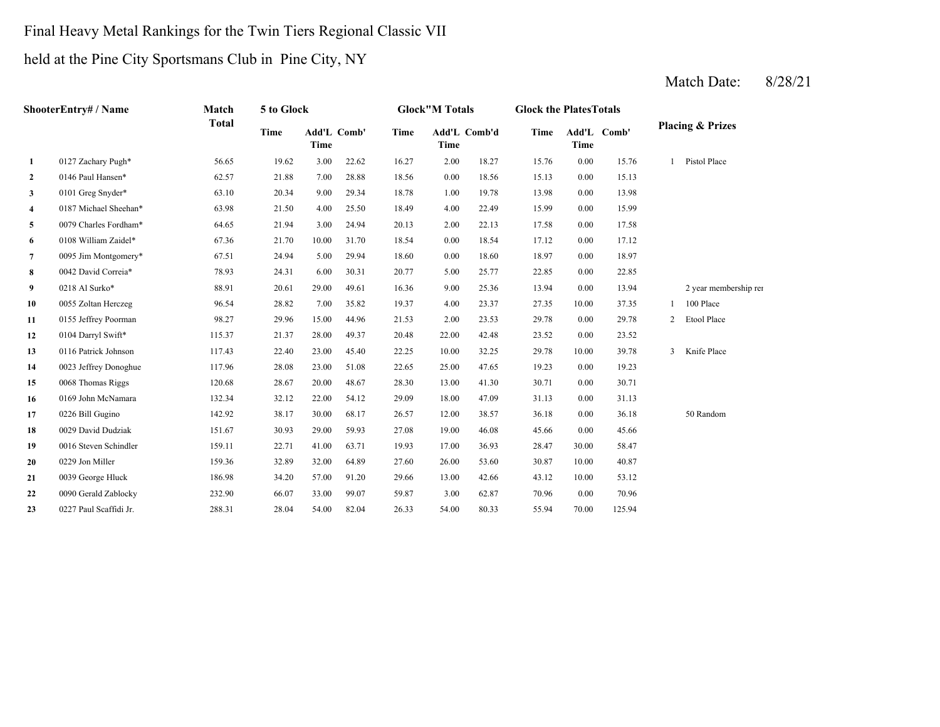# Final Heavy Metal Rankings for the Twin Tiers Regional Classic VII

# held at the Pine City Sportsmans Club in Pine City, NY

|                         | <b>ShooterEntrv# / Name</b> | Match        | 5 to Glock |       |             |             | <b>Glock"M Totals</b> |              | <b>Glock the Plates Totals</b> |             |             |   |                             |
|-------------------------|-----------------------------|--------------|------------|-------|-------------|-------------|-----------------------|--------------|--------------------------------|-------------|-------------|---|-----------------------------|
|                         |                             | <b>Total</b> | Time       | Time  | Add'L Comb' | <b>Time</b> | Time                  | Add'L Comb'd | Time                           | <b>Time</b> | Add'L Comb' |   | <b>Placing &amp; Prizes</b> |
| 1                       | 0127 Zachary Pugh*          | 56.65        | 19.62      | 3.00  | 22.62       | 16.27       | 2.00                  | 18.27        | 15.76                          | 0.00        | 15.76       |   | Pistol Place                |
| $\mathbf{2}$            | 0146 Paul Hansen*           | 62.57        | 21.88      | 7.00  | 28.88       | 18.56       | 0.00                  | 18.56        | 15.13                          | 0.00        | 15.13       |   |                             |
| 3                       | 0101 Greg Snyder*           | 63.10        | 20.34      | 9.00  | 29.34       | 18.78       | 1.00                  | 19.78        | 13.98                          | 0.00        | 13.98       |   |                             |
| $\overline{\mathbf{4}}$ | 0187 Michael Sheehan*       | 63.98        | 21.50      | 4.00  | 25.50       | 18.49       | 4.00                  | 22.49        | 15.99                          | 0.00        | 15.99       |   |                             |
| 5                       | 0079 Charles Fordham*       | 64.65        | 21.94      | 3.00  | 24.94       | 20.13       | 2.00                  | 22.13        | 17.58                          | 0.00        | 17.58       |   |                             |
| 6                       | 0108 William Zaidel*        | 67.36        | 21.70      | 10.00 | 31.70       | 18.54       | 0.00                  | 18.54        | 17.12                          | 0.00        | 17.12       |   |                             |
| 7                       | 0095 Jim Montgomery*        | 67.51        | 24.94      | 5.00  | 29.94       | 18.60       | 0.00                  | 18.60        | 18.97                          | 0.00        | 18.97       |   |                             |
| 8                       | 0042 David Correia*         | 78.93        | 24.31      | 6.00  | 30.31       | 20.77       | 5.00                  | 25.77        | 22.85                          | 0.00        | 22.85       |   |                             |
| 9                       | 0218 Al Surko*              | 88.91        | 20.61      | 29.00 | 49.61       | 16.36       | 9.00                  | 25.36        | 13.94                          | 0.00        | 13.94       |   | 2 year membership rei       |
| 10                      | 0055 Zoltan Herczeg         | 96.54        | 28.82      | 7.00  | 35.82       | 19.37       | 4.00                  | 23.37        | 27.35                          | 10.00       | 37.35       |   | 100 Place                   |
| 11                      | 0155 Jeffrey Poorman        | 98.27        | 29.96      | 15.00 | 44.96       | 21.53       | 2.00                  | 23.53        | 29.78                          | 0.00        | 29.78       | 2 | Etool Place                 |
| 12                      | 0104 Darryl Swift*          | 115.37       | 21.37      | 28.00 | 49.37       | 20.48       | 22.00                 | 42.48        | 23.52                          | 0.00        | 23.52       |   |                             |
| 13                      | 0116 Patrick Johnson        | 117.43       | 22.40      | 23.00 | 45.40       | 22.25       | 10.00                 | 32.25        | 29.78                          | 10.00       | 39.78       | 3 | Knife Place                 |
| 14                      | 0023 Jeffrey Donoghue       | 117.96       | 28.08      | 23.00 | 51.08       | 22.65       | 25.00                 | 47.65        | 19.23                          | 0.00        | 19.23       |   |                             |
| 15                      | 0068 Thomas Riggs           | 120.68       | 28.67      | 20.00 | 48.67       | 28.30       | 13.00                 | 41.30        | 30.71                          | 0.00        | 30.71       |   |                             |
| 16                      | 0169 John McNamara          | 132.34       | 32.12      | 22.00 | 54.12       | 29.09       | 18.00                 | 47.09        | 31.13                          | 0.00        | 31.13       |   |                             |
| 17                      | 0226 Bill Gugino            | 142.92       | 38.17      | 30.00 | 68.17       | 26.57       | 12.00                 | 38.57        | 36.18                          | 0.00        | 36.18       |   | 50 Random                   |
| 18                      | 0029 David Dudziak          | 151.67       | 30.93      | 29.00 | 59.93       | 27.08       | 19.00                 | 46.08        | 45.66                          | 0.00        | 45.66       |   |                             |
| 19                      | 0016 Steven Schindler       | 159.11       | 22.71      | 41.00 | 63.71       | 19.93       | 17.00                 | 36.93        | 28.47                          | 30.00       | 58.47       |   |                             |
| 20                      | 0229 Jon Miller             | 159.36       | 32.89      | 32.00 | 64.89       | 27.60       | 26.00                 | 53.60        | 30.87                          | 10.00       | 40.87       |   |                             |
| 21                      | 0039 George Hluck           | 186.98       | 34.20      | 57.00 | 91.20       | 29.66       | 13.00                 | 42.66        | 43.12                          | 10.00       | 53.12       |   |                             |
| 22                      | 0090 Gerald Zablocky        | 232.90       | 66.07      | 33.00 | 99.07       | 59.87       | 3.00                  | 62.87        | 70.96                          | 0.00        | 70.96       |   |                             |
| 23                      | 0227 Paul Scaffidi Jr.      | 288.31       | 28.04      | 54.00 | 82.04       | 26.33       | 54.00                 | 80.33        | 55.94                          | 70.00       | 125.94      |   |                             |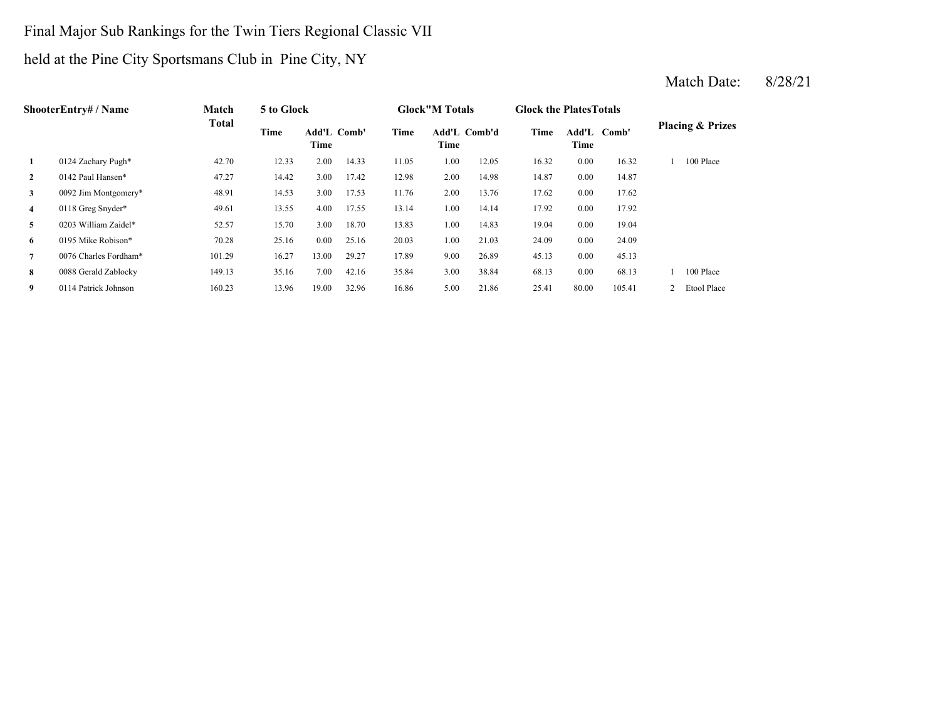# Final Major Sub Rankings for the Twin Tiers Regional Classic VII

# held at the Pine City Sportsmans Club in Pine City, NY

|                | Match<br><b>ShooterEntry#/Name</b><br><b>Total</b> | 5 to Glock |       |                            |       | <b>Glock</b> "M Totals |                      | <b>Glock the Plates Totals</b> |       |               |        |                             |
|----------------|----------------------------------------------------|------------|-------|----------------------------|-------|------------------------|----------------------|--------------------------------|-------|---------------|--------|-----------------------------|
|                |                                                    |            | Time  | <b>Add'L Comb'</b><br>Time |       | Time                   | Add'L Comb'd<br>Time |                                | Time  | Add'L<br>Time | Comb'  | <b>Placing &amp; Prizes</b> |
| 1              | 0124 Zachary Pugh*                                 | 42.70      | 12.33 | 2.00                       | 14.33 | 11.05                  | 1.00                 | 12.05                          | 16.32 | 0.00          | 16.32  | 100 Place                   |
| $\mathbf{2}$   | 0142 Paul Hansen*                                  | 47.27      | 14.42 | 3.00                       | 17.42 | 12.98                  | 2.00                 | 14.98                          | 14.87 | 0.00          | 14.87  |                             |
| 3              | 0092 Jim Montgomery*                               | 48.91      | 14.53 | 3.00                       | 17.53 | 11.76                  | 2.00                 | 13.76                          | 17.62 | 0.00          | 17.62  |                             |
| $\overline{4}$ | 0118 Greg Snyder*                                  | 49.61      | 13.55 | 4.00                       | 17.55 | 13.14                  | 1.00                 | 14.14                          | 17.92 | 0.00          | 17.92  |                             |
| 5              | 0203 William Zaidel*                               | 52.57      | 15.70 | 3.00                       | 18.70 | 13.83                  | 1.00                 | 14.83                          | 19.04 | 0.00          | 19.04  |                             |
| 6              | 0195 Mike Robison*                                 | 70.28      | 25.16 | 0.00                       | 25.16 | 20.03                  | 1.00                 | 21.03                          | 24.09 | 0.00          | 24.09  |                             |
| $\overline{7}$ | 0076 Charles Fordham*                              | 101.29     | 16.27 | 13.00                      | 29.27 | 17.89                  | 9.00                 | 26.89                          | 45.13 | 0.00          | 45.13  |                             |
| 8              | 0088 Gerald Zablocky                               | 149.13     | 35.16 | 7.00                       | 42.16 | 35.84                  | 3.00                 | 38.84                          | 68.13 | 0.00          | 68.13  | 100 Place                   |
| 9              | 0114 Patrick Johnson                               | 160.23     | 13.96 | 19.00                      | 32.96 | 16.86                  | 5.00                 | 21.86                          | 25.41 | 80.00         | 105.41 | Etool Place                 |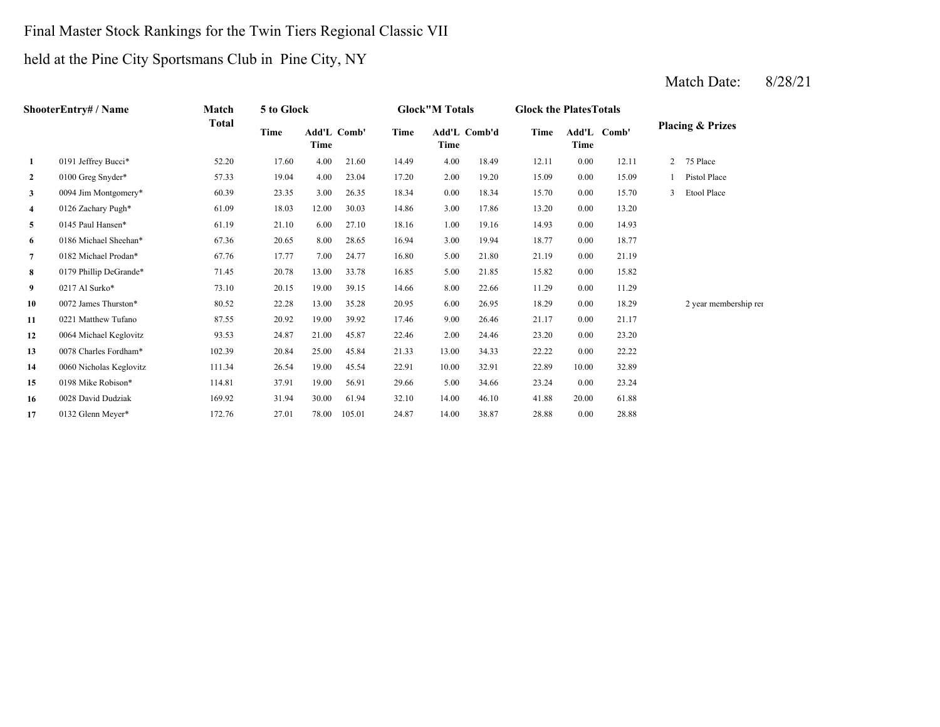#### Final Master Stock Rankings for the Twin Tiers Regional Classic VII

# held at the Pine City Sportsmans Club in Pine City, NY

| <b>ShooterEntry#/Name</b> | Match                   | 5 to Glock   |       |                     |        | <b>Glock"M Totals</b> |       | <b>Glock the PlatesTotals</b> |       |       |             |                |                             |
|---------------------------|-------------------------|--------------|-------|---------------------|--------|-----------------------|-------|-------------------------------|-------|-------|-------------|----------------|-----------------------------|
|                           |                         | <b>Total</b> | Time  | Add'L Comb'<br>Time |        | Time                  | Time  | Add'L Comb'd                  | Time  | Time  | Add'L Comb' |                | <b>Placing &amp; Prizes</b> |
| 1                         | 0191 Jeffrey Bucci*     | 52.20        | 17.60 | 4.00                | 21.60  | 14.49                 | 4.00  | 18.49                         | 12.11 | 0.00  | 12.11       | $\overline{2}$ | 75 Place                    |
| $\overline{2}$            | 0100 Greg Snyder*       | 57.33        | 19.04 | 4.00                | 23.04  | 17.20                 | 2.00  | 19.20                         | 15.09 | 0.00  | 15.09       |                | Pistol Place                |
| 3                         | 0094 Jim Montgomery*    | 60.39        | 23.35 | 3.00                | 26.35  | 18.34                 | 0.00  | 18.34                         | 15.70 | 0.00  | 15.70       | 3              | Etool Place                 |
| 4                         | 0126 Zachary Pugh*      | 61.09        | 18.03 | 12.00               | 30.03  | 14.86                 | 3.00  | 17.86                         | 13.20 | 0.00  | 13.20       |                |                             |
| 5                         | 0145 Paul Hansen*       | 61.19        | 21.10 | 6.00                | 27.10  | 18.16                 | 1.00  | 19.16                         | 14.93 | 0.00  | 14.93       |                |                             |
| 6                         | 0186 Michael Sheehan*   | 67.36        | 20.65 | 8.00                | 28.65  | 16.94                 | 3.00  | 19.94                         | 18.77 | 0.00  | 18.77       |                |                             |
| $\overline{7}$            | 0182 Michael Prodan*    | 67.76        | 17.77 | 7.00                | 24.77  | 16.80                 | 5.00  | 21.80                         | 21.19 | 0.00  | 21.19       |                |                             |
| 8                         | 0179 Phillip DeGrande*  | 71.45        | 20.78 | 13.00               | 33.78  | 16.85                 | 5.00  | 21.85                         | 15.82 | 0.00  | 15.82       |                |                             |
| 9                         | 0217 Al Surko*          | 73.10        | 20.15 | 19.00               | 39.15  | 14.66                 | 8.00  | 22.66                         | 11.29 | 0.00  | 11.29       |                |                             |
| 10                        | 0072 James Thurston*    | 80.52        | 22.28 | 13.00               | 35.28  | 20.95                 | 6.00  | 26.95                         | 18.29 | 0.00  | 18.29       |                | 2 year membership rei       |
| 11                        | 0221 Matthew Tufano     | 87.55        | 20.92 | 19.00               | 39.92  | 17.46                 | 9.00  | 26.46                         | 21.17 | 0.00  | 21.17       |                |                             |
| 12                        | 0064 Michael Keglovitz  | 93.53        | 24.87 | 21.00               | 45.87  | 22.46                 | 2.00  | 24.46                         | 23.20 | 0.00  | 23.20       |                |                             |
| 13                        | 0078 Charles Fordham*   | 102.39       | 20.84 | 25.00               | 45.84  | 21.33                 | 13.00 | 34.33                         | 22.22 | 0.00  | 22.22       |                |                             |
| 14                        | 0060 Nicholas Keglovitz | 111.34       | 26.54 | 19.00               | 45.54  | 22.91                 | 10.00 | 32.91                         | 22.89 | 10.00 | 32.89       |                |                             |
| 15                        | 0198 Mike Robison*      | 114.81       | 37.91 | 19.00               | 56.91  | 29.66                 | 5.00  | 34.66                         | 23.24 | 0.00  | 23.24       |                |                             |
| 16                        | 0028 David Dudziak      | 169.92       | 31.94 | 30.00               | 61.94  | 32.10                 | 14.00 | 46.10                         | 41.88 | 20.00 | 61.88       |                |                             |
| 17                        | 0132 Glenn Meyer*       | 172.76       | 27.01 | 78.00               | 105.01 | 24.87                 | 14.00 | 38.87                         | 28.88 | 0.00  | 28.88       |                |                             |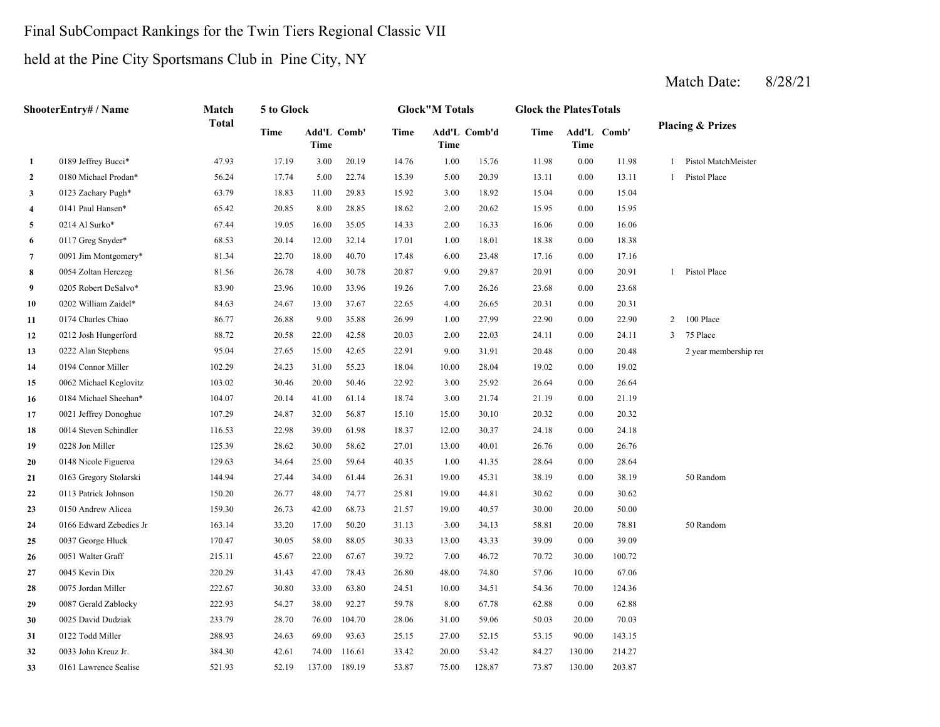#### Final SubCompact Rankings for the Twin Tiers Regional Classic VII

# held at the Pine City Sportsmans Club in Pine City, NY

|                | ShooterEntry# / Name    | Match        | 5 to Glock |             |             |       | <b>Glock"M Totals</b> |              | <b>Glock the PlatesTotals</b> |             |             |                |                             |
|----------------|-------------------------|--------------|------------|-------------|-------------|-------|-----------------------|--------------|-------------------------------|-------------|-------------|----------------|-----------------------------|
|                |                         | <b>Total</b> | Time       | <b>Time</b> | Add'L Comb' | Time  | <b>Time</b>           | Add'L Comb'd | Time                          | <b>Time</b> | Add'L Comb' |                | <b>Placing &amp; Prizes</b> |
| $\mathbf{1}$   | 0189 Jeffrey Bucci*     | 47.93        | 17.19      | 3.00        | 20.19       | 14.76 | 1.00                  | 15.76        | 11.98                         | 0.00        | 11.98       | 1              | Pistol MatchMeister         |
| $\overline{2}$ | 0180 Michael Prodan*    | 56.24        | 17.74      | 5.00        | 22.74       | 15.39 | 5.00                  | 20.39        | 13.11                         | 0.00        | 13.11       | $\mathbf{1}$   | Pistol Place                |
| 3              | 0123 Zachary Pugh*      | 63.79        | 18.83      | 11.00       | 29.83       | 15.92 | 3.00                  | 18.92        | 15.04                         | 0.00        | 15.04       |                |                             |
| 4              | 0141 Paul Hansen*       | 65.42        | 20.85      | 8.00        | 28.85       | 18.62 | 2.00                  | 20.62        | 15.95                         | 0.00        | 15.95       |                |                             |
| 5              | 0214 Al Surko*          | 67.44        | 19.05      | 16.00       | 35.05       | 14.33 | 2.00                  | 16.33        | 16.06                         | $0.00\,$    | 16.06       |                |                             |
| 6              | 0117 Greg Snyder*       | 68.53        | 20.14      | 12.00       | 32.14       | 17.01 | 1.00                  | 18.01        | 18.38                         | 0.00        | 18.38       |                |                             |
| $\overline{7}$ | 0091 Jim Montgomery*    | 81.34        | 22.70      | 18.00       | 40.70       | 17.48 | 6.00                  | 23.48        | 17.16                         | 0.00        | 17.16       |                |                             |
| 8              | 0054 Zoltan Herczeg     | 81.56        | 26.78      | 4.00        | 30.78       | 20.87 | 9.00                  | 29.87        | 20.91                         | 0.00        | 20.91       | $\mathbf{1}$   | Pistol Place                |
| 9              | 0205 Robert DeSalvo*    | 83.90        | 23.96      | 10.00       | 33.96       | 19.26 | 7.00                  | 26.26        | 23.68                         | 0.00        | 23.68       |                |                             |
| 10             | 0202 William Zaidel*    | 84.63        | 24.67      | 13.00       | 37.67       | 22.65 | 4.00                  | 26.65        | 20.31                         | 0.00        | 20.31       |                |                             |
| 11             | 0174 Charles Chiao      | 86.77        | 26.88      | 9.00        | 35.88       | 26.99 | 1.00                  | 27.99        | 22.90                         | 0.00        | 22.90       | $\overline{c}$ | 100 Place                   |
| 12             | 0212 Josh Hungerford    | 88.72        | 20.58      | 22.00       | 42.58       | 20.03 | 2.00                  | 22.03        | 24.11                         | 0.00        | 24.11       | $\mathfrak{Z}$ | 75 Place                    |
| 13             | 0222 Alan Stephens      | 95.04        | 27.65      | 15.00       | 42.65       | 22.91 | 9.00                  | 31.91        | 20.48                         | 0.00        | 20.48       |                | 2 year membership rei       |
| 14             | 0194 Connor Miller      | 102.29       | 24.23      | 31.00       | 55.23       | 18.04 | 10.00                 | 28.04        | 19.02                         | 0.00        | 19.02       |                |                             |
| 15             | 0062 Michael Keglovitz  | 103.02       | 30.46      | 20.00       | 50.46       | 22.92 | 3.00                  | 25.92        | 26.64                         | 0.00        | 26.64       |                |                             |
| 16             | 0184 Michael Sheehan*   | 104.07       | 20.14      | 41.00       | 61.14       | 18.74 | 3.00                  | 21.74        | 21.19                         | 0.00        | 21.19       |                |                             |
| 17             | 0021 Jeffrey Donoghue   | 107.29       | 24.87      | 32.00       | 56.87       | 15.10 | 15.00                 | 30.10        | 20.32                         | 0.00        | 20.32       |                |                             |
| 18             | 0014 Steven Schindler   | 116.53       | 22.98      | 39.00       | 61.98       | 18.37 | 12.00                 | 30.37        | 24.18                         | 0.00        | 24.18       |                |                             |
| 19             | 0228 Jon Miller         | 125.39       | 28.62      | 30.00       | 58.62       | 27.01 | 13.00                 | 40.01        | 26.76                         | 0.00        | 26.76       |                |                             |
| 20             | 0148 Nicole Figueroa    | 129.63       | 34.64      | 25.00       | 59.64       | 40.35 | 1.00                  | 41.35        | 28.64                         | 0.00        | 28.64       |                |                             |
| 21             | 0163 Gregory Stolarski  | 144.94       | 27.44      | 34.00       | 61.44       | 26.31 | 19.00                 | 45.31        | 38.19                         | 0.00        | 38.19       |                | 50 Random                   |
| 22             | 0113 Patrick Johnson    | 150.20       | 26.77      | 48.00       | 74.77       | 25.81 | 19.00                 | 44.81        | 30.62                         | 0.00        | 30.62       |                |                             |
| 23             | 0150 Andrew Alicea      | 159.30       | 26.73      | 42.00       | 68.73       | 21.57 | 19.00                 | 40.57        | 30.00                         | 20.00       | 50.00       |                |                             |
| 24             | 0166 Edward Zebedies Jr | 163.14       | 33.20      | 17.00       | 50.20       | 31.13 | 3.00                  | 34.13        | 58.81                         | 20.00       | 78.81       |                | 50 Random                   |
| 25             | 0037 George Hluck       | 170.47       | 30.05      | 58.00       | 88.05       | 30.33 | 13.00                 | 43.33        | 39.09                         | 0.00        | 39.09       |                |                             |
| 26             | 0051 Walter Graff       | 215.11       | 45.67      | 22.00       | 67.67       | 39.72 | 7.00                  | 46.72        | 70.72                         | 30.00       | 100.72      |                |                             |
| 27             | 0045 Kevin Dix          | 220.29       | 31.43      | 47.00       | 78.43       | 26.80 | 48.00                 | 74.80        | 57.06                         | 10.00       | 67.06       |                |                             |
| 28             | 0075 Jordan Miller      | 222.67       | 30.80      | 33.00       | 63.80       | 24.51 | 10.00                 | 34.51        | 54.36                         | 70.00       | 124.36      |                |                             |
| 29             | 0087 Gerald Zablocky    | 222.93       | 54.27      | 38.00       | 92.27       | 59.78 | 8.00                  | 67.78        | 62.88                         | $0.00\,$    | 62.88       |                |                             |
| 30             | 0025 David Dudziak      | 233.79       | 28.70      | 76.00       | 104.70      | 28.06 | 31.00                 | 59.06        | 50.03                         | 20.00       | 70.03       |                |                             |
| 31             | 0122 Todd Miller        | 288.93       | 24.63      | 69.00       | 93.63       | 25.15 | 27.00                 | 52.15        | 53.15                         | 90.00       | 143.15      |                |                             |
| 32             | 0033 John Kreuz Jr.     | 384.30       | 42.61      | 74.00       | 116.61      | 33.42 | 20.00                 | 53.42        | 84.27                         | 130.00      | 214.27      |                |                             |
| 33             | 0161 Lawrence Scalise   | 521.93       | 52.19      | 137.00      | 189.19      | 53.87 | 75.00                 | 128.87       | 73.87                         | 130.00      | 203.87      |                |                             |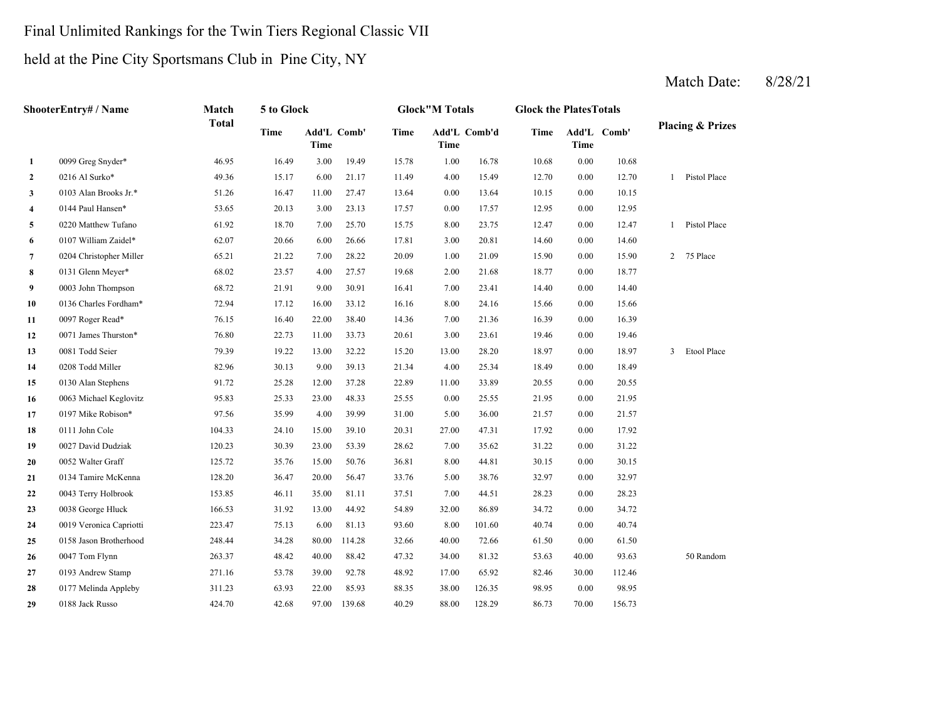# Final Unlimited Rankings for the Twin Tiers Regional Classic VII

# held at the Pine City Sportsmans Club in Pine City, NY

|                | ShooterEntry# / Name    | Match        | 5 to Glock  |                            |        |       | <b>Glock"M Totals</b> |              | <b>Glock the PlatesTotals</b> |          |             |                |                             |
|----------------|-------------------------|--------------|-------------|----------------------------|--------|-------|-----------------------|--------------|-------------------------------|----------|-------------|----------------|-----------------------------|
|                |                         | <b>Total</b> | <b>Time</b> | Add'L Comb'<br><b>Time</b> |        | Time  | <b>Time</b>           | Add'L Comb'd | Time                          | Time     | Add'L Comb' |                | <b>Placing &amp; Prizes</b> |
| $\mathbf{1}$   | 0099 Greg Snyder*       | 46.95        | 16.49       | 3.00                       | 19.49  | 15.78 | 1.00                  | 16.78        | 10.68                         | $0.00\,$ | 10.68       |                |                             |
| $\mathbf{2}$   | 0216 Al Surko*          | 49.36        | 15.17       | 6.00                       | 21.17  | 11.49 | 4.00                  | 15.49        | 12.70                         | 0.00     | 12.70       | 1              | Pistol Place                |
| 3              | 0103 Alan Brooks Jr.*   | 51.26        | 16.47       | 11.00                      | 27.47  | 13.64 | 0.00                  | 13.64        | 10.15                         | 0.00     | 10.15       |                |                             |
| 4              | 0144 Paul Hansen*       | 53.65        | 20.13       | 3.00                       | 23.13  | 17.57 | 0.00                  | 17.57        | 12.95                         | $0.00\,$ | 12.95       |                |                             |
| 5              | 0220 Matthew Tufano     | 61.92        | 18.70       | 7.00                       | 25.70  | 15.75 | 8.00                  | 23.75        | 12.47                         | $0.00\,$ | 12.47       | 1              | Pistol Place                |
| 6              | 0107 William Zaidel*    | 62.07        | 20.66       | 6.00                       | 26.66  | 17.81 | 3.00                  | 20.81        | 14.60                         | 0.00     | 14.60       |                |                             |
| $\overline{7}$ | 0204 Christopher Miller | 65.21        | 21.22       | 7.00                       | 28.22  | 20.09 | 1.00                  | 21.09        | 15.90                         | 0.00     | 15.90       | $\overline{2}$ | 75 Place                    |
| 8              | 0131 Glenn Meyer*       | 68.02        | 23.57       | 4.00                       | 27.57  | 19.68 | 2.00                  | 21.68        | 18.77                         | $0.00\,$ | 18.77       |                |                             |
| 9              | 0003 John Thompson      | 68.72        | 21.91       | 9.00                       | 30.91  | 16.41 | 7.00                  | 23.41        | 14.40                         | 0.00     | 14.40       |                |                             |
| 10             | 0136 Charles Fordham*   | 72.94        | 17.12       | 16.00                      | 33.12  | 16.16 | 8.00                  | 24.16        | 15.66                         | 0.00     | 15.66       |                |                             |
| 11             | 0097 Roger Read*        | 76.15        | 16.40       | 22.00                      | 38.40  | 14.36 | 7.00                  | 21.36        | 16.39                         | $0.00\,$ | 16.39       |                |                             |
| 12             | 0071 James Thurston*    | 76.80        | 22.73       | 11.00                      | 33.73  | 20.61 | 3.00                  | 23.61        | 19.46                         | 0.00     | 19.46       |                |                             |
| 13             | 0081 Todd Seier         | 79.39        | 19.22       | 13.00                      | 32.22  | 15.20 | 13.00                 | 28.20        | 18.97                         | 0.00     | 18.97       | $\mathbf{3}$   | Etool Place                 |
| 14             | 0208 Todd Miller        | 82.96        | 30.13       | 9.00                       | 39.13  | 21.34 | 4.00                  | 25.34        | 18.49                         | $0.00\,$ | 18.49       |                |                             |
| 15             | 0130 Alan Stephens      | 91.72        | 25.28       | 12.00                      | 37.28  | 22.89 | 11.00                 | 33.89        | 20.55                         | 0.00     | 20.55       |                |                             |
| 16             | 0063 Michael Keglovitz  | 95.83        | 25.33       | 23.00                      | 48.33  | 25.55 | 0.00                  | 25.55        | 21.95                         | 0.00     | 21.95       |                |                             |
| 17             | 0197 Mike Robison*      | 97.56        | 35.99       | 4.00                       | 39.99  | 31.00 | 5.00                  | 36.00        | 21.57                         | $0.00\,$ | 21.57       |                |                             |
| 18             | 0111 John Cole          | 104.33       | 24.10       | 15.00                      | 39.10  | 20.31 | 27.00                 | 47.31        | 17.92                         | 0.00     | 17.92       |                |                             |
| 19             | 0027 David Dudziak      | 120.23       | 30.39       | 23.00                      | 53.39  | 28.62 | 7.00                  | 35.62        | 31.22                         | 0.00     | 31.22       |                |                             |
| 20             | 0052 Walter Graff       | 125.72       | 35.76       | 15.00                      | 50.76  | 36.81 | 8.00                  | 44.81        | 30.15                         | 0.00     | 30.15       |                |                             |
| 21             | 0134 Tamire McKenna     | 128.20       | 36.47       | 20.00                      | 56.47  | 33.76 | 5.00                  | 38.76        | 32.97                         | 0.00     | 32.97       |                |                             |
| 22             | 0043 Terry Holbrook     | 153.85       | 46.11       | 35.00                      | 81.11  | 37.51 | 7.00                  | 44.51        | 28.23                         | 0.00     | 28.23       |                |                             |
| 23             | 0038 George Hluck       | 166.53       | 31.92       | 13.00                      | 44.92  | 54.89 | 32.00                 | 86.89        | 34.72                         | 0.00     | 34.72       |                |                             |
| 24             | 0019 Veronica Capriotti | 223.47       | 75.13       | 6.00                       | 81.13  | 93.60 | 8.00                  | 101.60       | 40.74                         | 0.00     | 40.74       |                |                             |
| 25             | 0158 Jason Brotherhood  | 248.44       | 34.28       | 80.00                      | 114.28 | 32.66 | 40.00                 | 72.66        | 61.50                         | 0.00     | 61.50       |                |                             |
| 26             | 0047 Tom Flynn          | 263.37       | 48.42       | 40.00                      | 88.42  | 47.32 | 34.00                 | 81.32        | 53.63                         | 40.00    | 93.63       |                | 50 Random                   |
| 27             | 0193 Andrew Stamp       | 271.16       | 53.78       | 39.00                      | 92.78  | 48.92 | 17.00                 | 65.92        | 82.46                         | 30.00    | 112.46      |                |                             |
| 28             | 0177 Melinda Appleby    | 311.23       | 63.93       | 22.00                      | 85.93  | 88.35 | 38.00                 | 126.35       | 98.95                         | 0.00     | 98.95       |                |                             |
| 29             | 0188 Jack Russo         | 424.70       | 42.68       | 97.00                      | 139.68 | 40.29 | 88.00                 | 128.29       | 86.73                         | 70.00    | 156.73      |                |                             |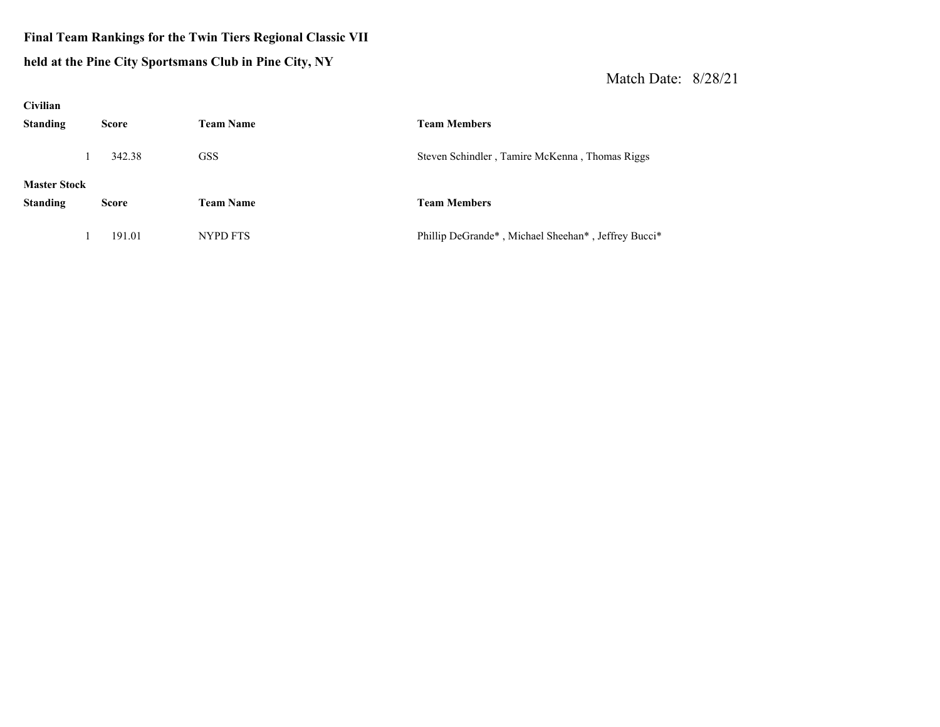#### **Final Team Rankings for the Twin Tiers Regional Classic VII held at the Pine City Sportsmans Club in Pine City, NY**

| <b>Civilian</b>                        |              |                  |                                                     |
|----------------------------------------|--------------|------------------|-----------------------------------------------------|
| <b>Standing</b>                        | <b>Score</b> | <b>Team Name</b> | <b>Team Members</b>                                 |
|                                        | 342.38       | <b>GSS</b>       | Steven Schindler, Tamire McKenna, Thomas Riggs      |
| <b>Master Stock</b><br><b>Standing</b> | <b>Score</b> | <b>Team Name</b> | <b>Team Members</b>                                 |
|                                        | 191.01       | NYPD FTS         | Phillip DeGrande*, Michael Sheehan*, Jeffrey Bucci* |